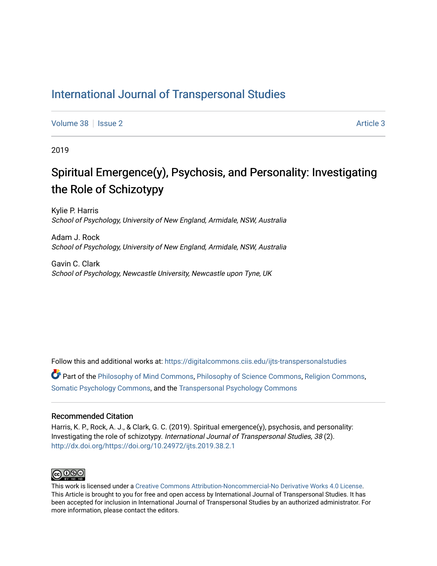## [International Journal of Transpersonal Studies](https://digitalcommons.ciis.edu/ijts-transpersonalstudies)

[Volume 38](https://digitalcommons.ciis.edu/ijts-transpersonalstudies/vol38) | [Issue 2](https://digitalcommons.ciis.edu/ijts-transpersonalstudies/vol38/iss2) [Article 3](https://digitalcommons.ciis.edu/ijts-transpersonalstudies/vol38/iss2/3) Article 3

2019

## Spiritual Emergence(y), Psychosis, and Personality: Investigating the Role of Schizotypy

Kylie P. Harris School of Psychology, University of New England, Armidale, NSW, Australia

Adam J. Rock School of Psychology, University of New England, Armidale, NSW, Australia

Gavin C. Clark School of Psychology, Newcastle University, Newcastle upon Tyne, UK

Follow this and additional works at: [https://digitalcommons.ciis.edu/ijts-transpersonalstudies](https://digitalcommons.ciis.edu/ijts-transpersonalstudies?utm_source=digitalcommons.ciis.edu%2Fijts-transpersonalstudies%2Fvol38%2Fiss2%2F3&utm_medium=PDF&utm_campaign=PDFCoverPages) 

Part of the [Philosophy of Mind Commons](http://network.bepress.com/hgg/discipline/535?utm_source=digitalcommons.ciis.edu%2Fijts-transpersonalstudies%2Fvol38%2Fiss2%2F3&utm_medium=PDF&utm_campaign=PDFCoverPages), [Philosophy of Science Commons,](http://network.bepress.com/hgg/discipline/536?utm_source=digitalcommons.ciis.edu%2Fijts-transpersonalstudies%2Fvol38%2Fiss2%2F3&utm_medium=PDF&utm_campaign=PDFCoverPages) [Religion Commons](http://network.bepress.com/hgg/discipline/538?utm_source=digitalcommons.ciis.edu%2Fijts-transpersonalstudies%2Fvol38%2Fiss2%2F3&utm_medium=PDF&utm_campaign=PDFCoverPages), [Somatic Psychology Commons,](http://network.bepress.com/hgg/discipline/1431?utm_source=digitalcommons.ciis.edu%2Fijts-transpersonalstudies%2Fvol38%2Fiss2%2F3&utm_medium=PDF&utm_campaign=PDFCoverPages) and the [Transpersonal Psychology Commons](http://network.bepress.com/hgg/discipline/1388?utm_source=digitalcommons.ciis.edu%2Fijts-transpersonalstudies%2Fvol38%2Fiss2%2F3&utm_medium=PDF&utm_campaign=PDFCoverPages) 

#### Recommended Citation

Harris, K. P., Rock, A. J., & Clark, G. C. (2019). Spiritual emergence(y), psychosis, and personality: Investigating the role of schizotypy. International Journal of Transpersonal Studies, 38 (2). <http://dx.doi.org/https://doi.org/10.24972/ijts.2019.38.2.1>



This work is licensed under a [Creative Commons Attribution-Noncommercial-No Derivative Works 4.0 License.](https://creativecommons.org/licenses/by-nc-nd/4.0/) This Article is brought to you for free and open access by International Journal of Transpersonal Studies. It has been accepted for inclusion in International Journal of Transpersonal Studies by an authorized administrator. For more information, please contact the editors.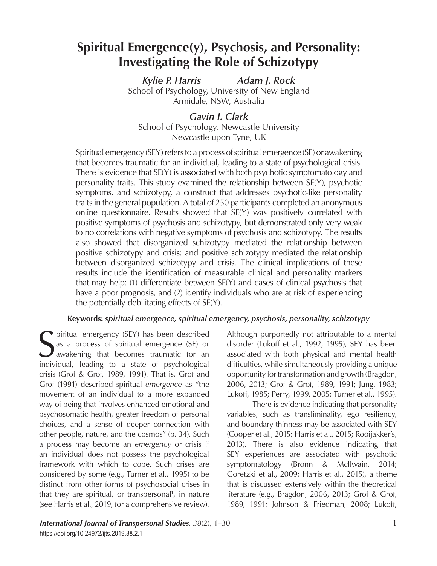# **Spiritual Emergence(y), Psychosis, and Personality: Investigating the Role of Schizotypy**

*Kylie P. Harris Adam J. Rock* School of Psychology, University of New England Armidale, NSW, Australia

*Gavin I. Clark* School of Psychology, Newcastle University Newcastle upon Tyne, UK

Spiritual emergency (SEY) refers to a process of spiritual emergence (SE) or awakening that becomes traumatic for an individual, leading to a state of psychological crisis. There is evidence that SE(Y) is associated with both psychotic symptomatology and personality traits. This study examined the relationship between SE(Y), psychotic symptoms, and schizotypy, a construct that addresses psychotic-like personality traits in the general population. A total of 250 participants completed an anonymous online questionnaire. Results showed that SE(Y) was positively correlated with positive symptoms of psychosis and schizotypy, but demonstrated only very weak to no correlations with negative symptoms of psychosis and schizotypy. The results also showed that disorganized schizotypy mediated the relationship between positive schizotypy and crisis; and positive schizotypy mediated the relationship between disorganized schizotypy and crisis. The clinical implications of these results include the identification of measurable clinical and personality markers that may help: (1) differentiate between SE(Y) and cases of clinical psychosis that have a poor prognosis, and (2) identify individuals who are at risk of experiencing the potentially debilitating effects of SE(Y).

### **Keywords:** *spiritual emergence, spiritual emergency, psychosis, personality, schizotypy*

Spiritual emergency (SEY) has been described<br>as a process of spiritual emergence (SE) or<br>awakening that becomes traumatic for an<br>individual leading to a state of psychological as a process of spiritual emergence (SE) or awakening that becomes traumatic for an individual, leading to a state of psychological crisis (Grof & Grof, 1989, 1991). That is, Grof and Grof (1991) described spiritual *emergence* as "the movement of an individual to a more expanded way of being that involves enhanced emotional and psychosomatic health, greater freedom of personal choices, and a sense of deeper connection with other people, nature, and the cosmos" (p. 34). Such a process may become an *emergency* or crisis if an individual does not possess the psychological framework with which to cope. Such crises are considered by some (e.g., Turner et al., 1995) to be distinct from other forms of psychosocial crises in that they are spiritual, or transpersonal<sup>1</sup>, in nature (see Harris et al., 2019, for a comprehensive review).

Although purportedly not attributable to a mental disorder (Lukoff et al., 1992, 1995), SEY has been associated with both physical and mental health difficulties, while simultaneously providing a unique opportunity for transformation and growth (Bragdon, 2006, 2013; Grof & Grof, 1989, 1991; Jung, 1983; Lukoff, 1985; Perry, 1999, 2005; Turner et al., 1995).

There is evidence indicating that personality variables, such as transliminality, ego resiliency, and boundary thinness may be associated with SEY (Cooper et al., 2015; Harris et al., 2015; Rooijakker's, 2013). There is also evidence indicating that SEY experiences are associated with psychotic symptomatology (Bronn & McIlwain, 2014; Goretzki et al., 2009; Harris et al., 2015), a theme that is discussed extensively within the theoretical literature (e.g., Bragdon, 2006, 2013; Grof & Grof, 1989, 1991; Johnson & Friedman, 2008; Lukoff,

International Journal of Transpersonal Studies, 38(2), 1-30 https://doi.org/10.24972/ijts.2019.38.1. https://doi.org/10.24972/ijts.2019.38.1.1 https://doi.org/10.24972/ijts.2019.38.2.1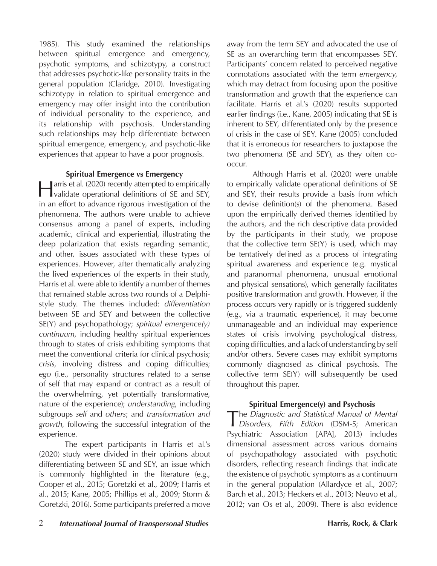1985). This study examined the relationships between spiritual emergence and emergency, psychotic symptoms, and schizotypy, a construct that addresses psychotic-like personality traits in the general population (Claridge, 2010). Investigating schizotypy in relation to spiritual emergence and emergency may offer insight into the contribution of individual personality to the experience, and its relationship with psychosis. Understanding such relationships may help differentiate between spiritual emergence, emergency, and psychotic-like experiences that appear to have a poor prognosis.

#### **Spiritual Emergence vs Emergency**

Harris et al. (2020) recently attempted to empirically validate operational definitions of SE and SEY, in an effort to advance rigorous investigation of the phenomena. The authors were unable to achieve consensus among a panel of experts, including academic, clinical and experiential, illustrating the deep polarization that exists regarding semantic, and other, issues associated with these types of experiences. However, after thematically analyzing the lived experiences of the experts in their study, Harris et al. were able to identify a number of themes that remained stable across two rounds of a Delphistyle study. The themes included: *differentiation* between SE and SEY and between the collective SE(Y) and psychopathology; *spiritual emergence(y) continuum*, including healthy spiritual experiences through to states of crisis exhibiting symptoms that meet the conventional criteria for clinical psychosis; *crisis*, involving distress and coping difficulties; *ego* (i.e., personality structures related to a sense of self that may expand or contract as a result of the overwhelming, yet potentially transformative, nature of the experience); *understanding*, including subgroups *self* and *others*; and *transformation and growth*, following the successful integration of the experience.

The expert participants in Harris et al.'s (2020) study were divided in their opinions about differentiating between SE and SEY, an issue which is commonly highlighted in the literature (e.g., Cooper et al., 2015; Goretzki et al., 2009; Harris et al., 2015; Kane, 2005; Phillips et al., 2009; Storm & Goretzki, 2016). Some participants preferred a move away from the term SEY and advocated the use of SE as an overarching term that encompasses SEY. Participants' concern related to perceived negative connotations associated with the term *emergency*, which may detract from focusing upon the positive transformation and growth that the experience can facilitate. Harris et al.'s (2020) results supported earlier findings (i.e., Kane, 2005) indicating that SE is inherent to SEY, differentiated only by the presence of crisis in the case of SEY. Kane (2005) concluded that it is erroneous for researchers to juxtapose the two phenomena (SE and SEY), as they often cooccur.

Although Harris et al. (2020) were unable to empirically validate operational definitions of SE and SEY, their results provide a basis from which to devise definition(s) of the phenomena. Based upon the empirically derived themes identified by the authors, and the rich descriptive data provided by the participants in their study, we propose that the collective term  $SE(Y)$  is used, which may be tentatively defined as a process of integrating spiritual awareness and experience (e.g. mystical and paranormal phenomena, unusual emotional and physical sensations), which generally facilitates positive transformation and growth. However, if the process occurs very rapidly or is triggered suddenly (e.g., via a traumatic experience), it may become unmanageable and an individual may experience states of crisis involving psychological distress, coping difficulties, and a lack of understanding by self and/or others. Severe cases may exhibit symptoms commonly diagnosed as clinical psychosis. The collective term SE(Y) will subsequently be used throughout this paper.

### **Spiritual Emergence(y) and Psychosis**

The *Diagnostic and Statistical Manual of Mental Disorders, Fifth Edition* (DSM-5; American Psychiatric Association [APA], 2013) includes dimensional assessment across various domains of psychopathology associated with psychotic disorders, reflecting research findings that indicate the existence of psychotic symptoms as a continuum in the general population (Allardyce et al., 2007; Barch et al., 2013; Heckers et al., 2013; Neuvo et al., 2012; van Os et al., 2009). There is also evidence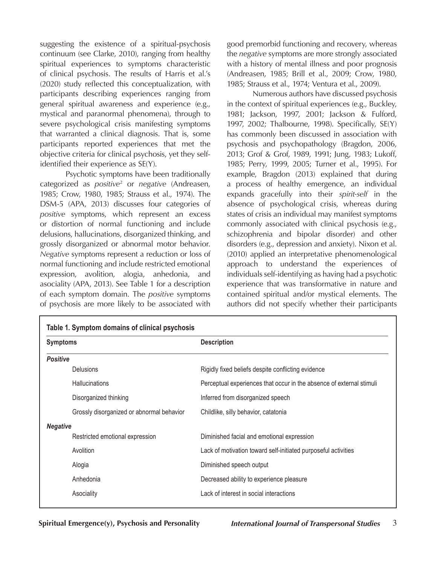suggesting the existence of a spiritual-psychosis continuum (see Clarke, 2010), ranging from healthy spiritual experiences to symptoms characteristic of clinical psychosis. The results of Harris et al.'s (2020) study reflected this conceptualization, with participants describing experiences ranging from general spiritual awareness and experience (e.g., mystical and paranormal phenomena), through to severe psychological crisis manifesting symptoms that warranted a clinical diagnosis. That is, some participants reported experiences that met the objective criteria for clinical psychosis, yet they selfidentified their experience as SE(Y).

Psychotic symptoms have been traditionally categorized as *positive*<sup>2</sup> or *negative* (Andreasen, 1985; Crow, 1980, 1985; Strauss et al., 1974). The DSM-5 (APA, 2013) discusses four categories of *positive* symptoms, which represent an excess or distortion of normal functioning and include delusions, hallucinations, disorganized thinking, and grossly disorganized or abnormal motor behavior. *Negative* symptoms represent a reduction or loss of normal functioning and include restricted emotional expression, avolition, alogia, anhedonia, and asociality (APA, 2013). See Table 1 for a description of each symptom domain. The *positive* symptoms of psychosis are more likely to be associated with

Г

good premorbid functioning and recovery, whereas the *negative* symptoms are more strongly associated with a history of mental illness and poor prognosis (Andreasen, 1985; Brill et al., 2009; Crow, 1980, 1985; Strauss et al., 1974; Ventura et al., 2009).

Numerous authors have discussed psychosis in the context of spiritual experiences (e.g., Buckley, 1981; Jackson, 1997, 2001; Jackson & Fulford, 1997, 2002; Thalbourne, 1998). Specifically, SE(Y) has commonly been discussed in association with psychosis and psychopathology (Bragdon, 2006, 2013; Grof & Grof, 1989, 1991; Jung, 1983; Lukoff, 1985; Perry, 1999, 2005; Turner et al., 1995). For example, Bragdon (2013) explained that during a process of healthy emergence, an individual expands gracefully into their *spirit-self* in the absence of psychological crisis, whereas during states of crisis an individual may manifest symptoms commonly associated with clinical psychosis (e.g., schizophrenia and bipolar disorder) and other disorders (e.g., depression and anxiety). Nixon et al. (2010) applied an interpretative phenomenological approach to understand the experiences of individuals self-identifying as having had a psychotic experience that was transformative in nature and contained spiritual and/or mystical elements. The authors did not specify whether their participants

| <b>Symptoms</b>                           | <b>Description</b>                                                   |  |  |  |  |  |
|-------------------------------------------|----------------------------------------------------------------------|--|--|--|--|--|
| <b>Positive</b>                           |                                                                      |  |  |  |  |  |
| <b>Delusions</b>                          | Rigidly fixed beliefs despite conflicting evidence                   |  |  |  |  |  |
| <b>Hallucinations</b>                     | Perceptual experiences that occur in the absence of external stimuli |  |  |  |  |  |
| Disorganized thinking                     | Inferred from disorganized speech                                    |  |  |  |  |  |
| Grossly disorganized or abnormal behavior | Childlike, silly behavior, catatonia                                 |  |  |  |  |  |
| <b>Negative</b>                           |                                                                      |  |  |  |  |  |
| Restricted emotional expression           | Diminished facial and emotional expression                           |  |  |  |  |  |
| Avolition                                 | Lack of motivation toward self-initiated purposeful activities       |  |  |  |  |  |
| Alogia                                    | Diminished speech output                                             |  |  |  |  |  |
| Anhedonia                                 | Decreased ability to experience pleasure                             |  |  |  |  |  |
| Asociality                                | Lack of interest in social interactions                              |  |  |  |  |  |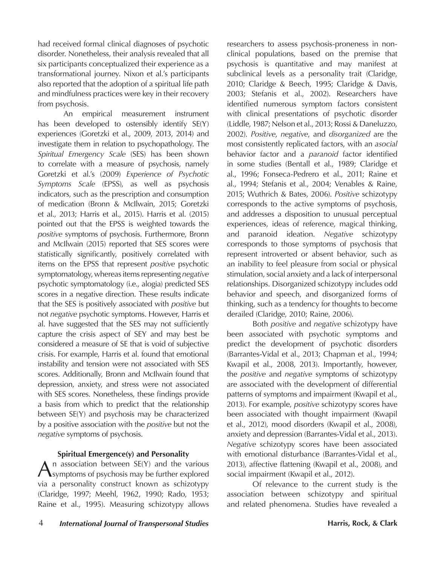had received formal clinical diagnoses of psychotic disorder. Nonetheless, their analysis revealed that all six participants conceptualized their experience as a transformational journey. Nixon et al.'s participants also reported that the adoption of a spiritual life path and mindfulness practices were key in their recovery from psychosis.

An empirical measurement instrument has been developed to ostensibly identify SE(Y) experiences (Goretzki et al., 2009, 2013, 2014) and investigate them in relation to psychopathology. The *Spiritual Emergency Scale* (SES) has been shown to correlate with a measure of psychosis, namely Goretzki et al.'s (2009) *Experience of Psychotic Symptoms Scale* (EPSS), as well as psychosis indicators, such as the prescription and consumption of medication (Bronn & McIlwain, 2015; Goretzki et al., 2013; Harris et al., 2015). Harris et al. (2015) pointed out that the EPSS is weighted towards the *positive* symptoms of psychosis. Furthermore, Bronn and McIlwain (2015) reported that SES scores were statistically significantly, positively correlated with items on the EPSS that represent *positive* psychotic symptomatology, whereas items representing *negative* psychotic symptomatology (i.e., alogia) predicted SES scores in a negative direction. These results indicate that the SES is positively associated with *positive* but not *negative* psychotic symptoms. However, Harris et al. have suggested that the SES may not sufficiently capture the crisis aspect of SEY and may best be considered a measure of SE that is void of subjective crisis. For example, Harris et al. found that emotional instability and tension were not associated with SES scores. Additionally, Bronn and McIlwain found that depression, anxiety, and stress were not associated with SES scores. Nonetheless, these findings provide a basis from which to predict that the relationship between SE(Y) and psychosis may be characterized by a positive association with the *positive* but not the *negative* symptoms of psychosis.

### **Spiritual Emergence(y) and Personality**

 $\Lambda$  n association between SE(Y) and the various symptoms of psychosis may be further explored via a personality construct known as schizotypy (Claridge, 1997; Meehl, 1962, 1990; Rado, 1953; Raine et al., 1995). Measuring schizotypy allows researchers to assess psychosis-proneness in nonclinical populations, based on the premise that psychosis is quantitative and may manifest at subclinical levels as a personality trait (Claridge, 2010; Claridge & Beech, 1995; Claridge & Davis, 2003; Stefanis et al., 2002). Researchers have identified numerous symptom factors consistent with clinical presentations of psychotic disorder (Liddle, 1987; Nelson et al., 2013; Rossi & Daneluzzo, 2002). *Positive*, *negative*, and *disorganized* are the most consistently replicated factors, with an *asocial*  behavior factor and a *paranoid* factor identified in some studies (Bentall et al., 1989; Claridge et al., 1996; Fonseca-Pedrero et al., 2011; Raine et al., 1994; Stefanis et al., 2004; Venables & Raine, 2015; Wuthrich & Bates, 2006). *Positive* schizotypy corresponds to the active symptoms of psychosis, and addresses a disposition to unusual perceptual experiences, ideas of reference, magical thinking, and paranoid ideation. *Negative* schizotypy corresponds to those symptoms of psychosis that represent introverted or absent behavior, such as an inability to feel pleasure from social or physical stimulation, social anxiety and a lack of interpersonal relationships. Disorganized schizotypy includes odd behavior and speech, and disorganized forms of thinking, such as a tendency for thoughts to become derailed (Claridge, 2010; Raine, 2006).

Both *positive* and *negative* schizotypy have been associated with psychotic symptoms and predict the development of psychotic disorders (Barrantes-Vidal et al., 2013; Chapman et al., 1994; Kwapil et al., 2008, 2013). Importantly, however, the *positive* and *negative* symptoms of schizotypy are associated with the development of differential patterns of symptoms and impairment (Kwapil et al., 2013). For example, *positive* schizotypy scores have been associated with thought impairment (Kwapil et al., 2012), mood disorders (Kwapil et al., 2008), anxiety and depression (Barrantes-Vidal et al., 2013). *Negative* schizotypy scores have been associated with emotional disturbance (Barrantes-Vidal et al., 2013), affective flattening (Kwapil et al., 2008), and social impairment (Kwapil et al., 2012).

Of relevance to the current study is the association between schizotypy and spiritual and related phenomena. Studies have revealed a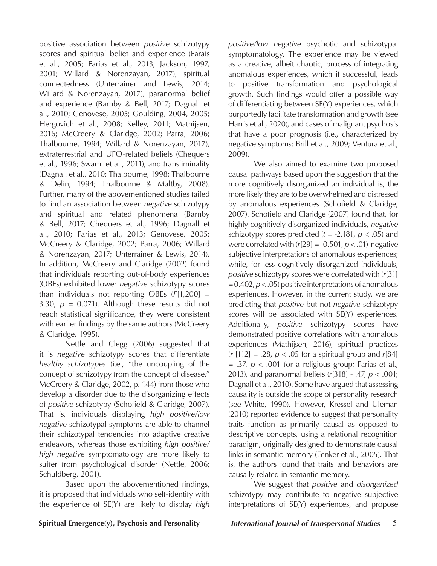positive association between *positive* schizotypy scores and spiritual belief and experience (Farais et al., 2005; Farias et al., 2013; Jackson, 1997, 2001; Willard & Norenzayan, 2017), spiritual connectedness (Unterrainer and Lewis, 2014; Willard & Norenzayan, 2017), paranormal belief and experience (Barnby & Bell, 2017; Dagnall et al., 2010; Genovese, 2005; Goulding, 2004, 2005; Hergovich et al., 2008; Kelley, 2011; Mathijsen, 2016; McCreery & Claridge, 2002; Parra, 2006; Thalbourne, 1994; Willard & Norenzayan, 2017), extraterrestrial and UFO-related beliefs (Chequers et al., 1996; Swami et al., 2011), and transliminality (Dagnall et al., 2010; Thalbourne, 1998; Thalbourne & Delin, 1994; Thalbourne & Maltby, 2008). Further, many of the abovementioned studies failed to find an association between *negative* schizotypy and spiritual and related phenomena (Barnby & Bell, 2017; Chequers et al., 1996; Dagnall et al., 2010; Farias et al., 2013; Genovese, 2005; McCreery & Claridge, 2002; Parra, 2006; Willard & Norenzayan, 2017; Unterrainer & Lewis, 2014). In addition, McCreery and Claridge (2002) found that individuals reporting out-of-body experiences (OBEs) exhibited lower *negative* schizotypy scores than individuals not reporting OBEs (*F*[1,200] = 3.30,  $p = 0.071$ ). Although these results did not reach statistical significance, they were consistent with earlier findings by the same authors (McCreery & Claridge, 1995).

Nettle and Clegg (2006) suggested that it is *negative* schizotypy scores that differentiate *healthy schizotypes* (i.e., "the uncoupling of the concept of schizotypy from the concept of disease," McCreery & Claridge, 2002, p. 144) from those who develop a disorder due to the disorganizing effects of *positive* schizotypy (Schofield & Claridge, 2007). That is, individuals displaying *high positive/low negative* schizotypal symptoms are able to channel their schizotypal tendencies into adaptive creative endeavors, whereas those exhibiting *high positive/ high negative* symptomatology are more likely to suffer from psychological disorder (Nettle, 2006; Schuldberg, 2001).

Based upon the abovementioned findings, it is proposed that individuals who self-identify with the experience of SE(Y) are likely to display *high*  *positive/low negative* psychotic and schizotypal symptomatology. The experience may be viewed as a creative, albeit chaotic, process of integrating anomalous experiences, which if successful, leads to positive transformation and psychological growth. Such findings would offer a possible way of differentiating between SE(Y) experiences, which purportedly facilitate transformation and growth (see Harris et al., 2020), and cases of malignant psychosis that have a poor prognosis (i.e., characterized by negative symptoms; Brill et al., 2009; Ventura et al., 2009).

We also aimed to examine two proposed causal pathways based upon the suggestion that the more cognitively disorganized an individual is, the more likely they are to be overwhelmed and distressed by anomalous experiences (Schofield & Claridge, 2007). Schofield and Claridge (2007) found that, for highly cognitively disorganized individuals, *negative* schizotypy scores predicted (*t* = -2.181, *p* < .05) and were correlated with  $(r[29] = -0.501, p < .01)$  negative subjective interpretations of anomalous experiences; while, for less cognitively disorganized individuals, *positive* schizotypy scores were correlated with (*r*[31] = 0.402, *p* < .05) positive interpretations of anomalous experiences. However, in the current study, we are predicting that *positive* but not *negative* schizotypy scores will be associated with SE(Y) experiences. Additionally, *positive* schizotypy scores have demonstrated positive correlations with anomalous experiences (Mathijsen, 2016), spiritual practices (*r* [112] = .28, *p* < .05 for a spiritual group and *r*[84]  $= .37, p < .001$  for a religious group; Farias et al., 2013), and paranormal beliefs (*r*[318] - .47, *p* < .001; Dagnall et al., 2010). Some have argued that assessing causality is outside the scope of personality research (see White, 1990). However, Kressel and Uleman (2010) reported evidence to suggest that personality traits function as primarily causal as opposed to descriptive concepts, using a relational recognition paradigm, originally designed to demonstrate causal links in semantic memory (Fenker et al., 2005). That is, the authors found that traits and behaviors are causally related in semantic memory.

We suggest that *positive* and *disorganized* schizotypy may contribute to negative subjective interpretations of SE(Y) experiences, and propose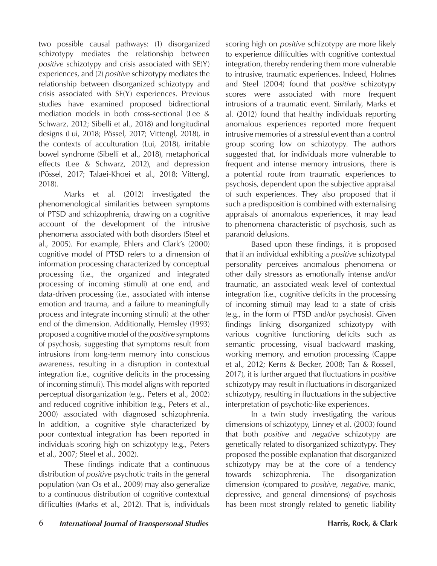two possible causal pathways: (1) disorganized schizotypy mediates the relationship between *positive* schizotypy and crisis associated with SE(Y) experiences, and (2) *positive* schizotypy mediates the relationship between disorganized schizotypy and crisis associated with SE(Y) experiences. Previous studies have examined proposed bidirectional mediation models in both cross-sectional (Lee & Schwarz, 2012; Sibelli et al., 2018) and longitudinal designs (Lui, 2018; Pössel, 2017; Vittengl, 2018), in the contexts of acculturation (Lui, 2018), irritable bowel syndrome (Sibelli et al., 2018), metaphorical effects (Lee & Schwarz, 2012), and depression (Pössel, 2017; Talaei-Khoei et al., 2018; Vittengl, 2018).

Marks et al. (2012) investigated the phenomenological similarities between symptoms of PTSD and schizophrenia, drawing on a cognitive account of the development of the intrusive phenomena associated with both disorders (Steel et al., 2005). For example, Ehlers and Clark's (2000) cognitive model of PTSD refers to a dimension of information processing characterized by conceptual processing (i.e., the organized and integrated processing of incoming stimuli) at one end, and data-driven processing (i.e., associated with intense emotion and trauma, and a failure to meaningfully process and integrate incoming stimuli) at the other end of the dimension. Additionally, Hemsley (1993) proposed a cognitive model of the *positive* symptoms of psychosis, suggesting that symptoms result from intrusions from long-term memory into conscious awareness, resulting in a disruption in contextual integration (i.e., cognitive deficits in the processing of incoming stimuli). This model aligns with reported perceptual disorganization (e.g., Peters et al., 2002) and reduced cognitive inhibition (e.g., Peters et al., 2000) associated with diagnosed schizophrenia. In addition, a cognitive style characterized by poor contextual integration has been reported in individuals scoring high on schizotypy (e.g., Peters et al., 2007; Steel et al., 2002).

These findings indicate that a continuous distribution of *positive* psychotic traits in the general population (van Os et al., 2009) may also generalize to a continuous distribution of cognitive contextual difficulties (Marks et al., 2012). That is, individuals scoring high on *positive* schizotypy are more likely to experience difficulties with cognitive contextual integration, thereby rendering them more vulnerable to intrusive, traumatic experiences. Indeed, Holmes and Steel (2004) found that *positive* schizotypy scores were associated with more frequent intrusions of a traumatic event. Similarly, Marks et al. (2012) found that healthy individuals reporting anomalous experiences reported more frequent intrusive memories of a stressful event than a control group scoring low on schizotypy. The authors suggested that, for individuals more vulnerable to frequent and intense memory intrusions, there is a potential route from traumatic experiences to psychosis, dependent upon the subjective appraisal of such experiences. They also proposed that if such a predisposition is combined with externalising appraisals of anomalous experiences, it may lead to phenomena characteristic of psychosis, such as paranoid delusions.

Based upon these findings, it is proposed that if an individual exhibiting a *positive* schizotypal personality perceives anomalous phenomena or other daily stressors as emotionally intense and/or traumatic, an associated weak level of contextual integration (i.e., cognitive deficits in the processing of incoming stimui) may lead to a state of crisis (e.g., in the form of PTSD and/or psychosis). Given findings linking disorganized schizotypy with various cognitive functioning deficits such as semantic processing, visual backward masking, working memory, and emotion processing (Cappe et al., 2012; Kerns & Becker, 2008; Tan & Rossell, 2017), it is further argued that fluctuations in *positive* schizotypy may result in fluctuations in disorganized schizotypy, resulting in fluctuations in the subjective interpretation of psychotic-like experiences.

In a twin study investigating the various dimensions of schizotypy, Linney et al. (2003) found that both *positive* and *negative* schizotypy are genetically related to disorganized schizotypy. They proposed the possible explanation that disorganized schizotypy may be at the core of a tendency towards schizophrenia. The disorganization dimension (compared to *positive*, *negative*, manic, depressive, and general dimensions) of psychosis has been most strongly related to genetic liability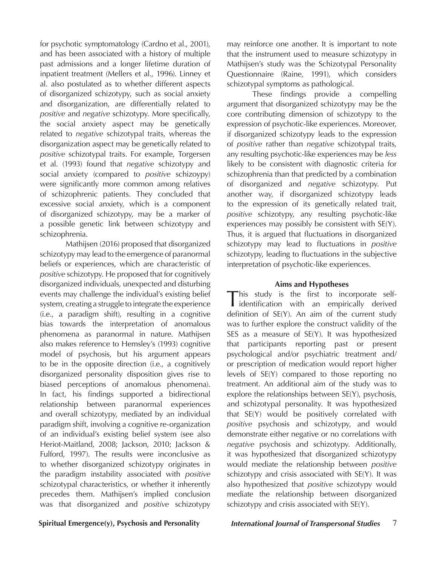for psychotic symptomatology (Cardno et al., 2001), and has been associated with a history of multiple past admissions and a longer lifetime duration of inpatient treatment (Mellers et al., 1996). Linney et al. also postulated as to whether different aspects of disorganized schizotypy, such as social anxiety and disorganization, are differentially related to *positive* and *negative* schizotypy. More specifically, the social anxiety aspect may be genetically related to *negative* schizotypal traits, whereas the disorganization aspect may be genetically related to *positive* schizotypal traits. For example, Torgersen et al. (1993) found that *negative* schizotypy and social anxiety (compared to *positive* schizoypy) were significantly more common among relatives of schizophrenic patients. They concluded that excessive social anxiety, which is a component of disorganized schizotypy, may be a marker of a possible genetic link between schizotypy and schizophrenia.

Mathijsen (2016) proposed that disorganized schizotypy may lead to the emergence of paranormal beliefs or experiences, which are characteristic of *positive* schizotypy. He proposed that for cognitively disorganized individuals, unexpected and disturbing events may challenge the individual's existing belief system, creating a struggle to integrate the experience (i.e., a paradigm shift), resulting in a cognitive bias towards the interpretation of anomalous phenomena as paranormal in nature. Mathijsen also makes reference to Hemsley's (1993) cognitive model of psychosis, but his argument appears to be in the opposite direction (i.e., a cognitively disorganized personality disposition gives rise to biased perceptions of anomalous phenomena). In fact, his findings supported a bidirectional relationship between paranormal experiences and overall schizotypy, mediated by an individual paradigm shift, involving a cognitive re-organization of an individual's existing belief system (see also Heriot-Maitland, 2008; Jackson, 2010; Jackson & Fulford, 1997). The results were inconclusive as to whether disorganized schizotypy originates in the paradigm instability associated with *positive* schizotypal characteristics, or whether it inherently precedes them. Mathijsen's implied conclusion was that disorganized and *positive* schizotypy may reinforce one another. It is important to note that the instrument used to measure schizotypy in Mathijsen's study was the Schizotypal Personality Questionnaire (Raine, 1991), which considers schizotypal symptoms as pathological.

These findings provide a compelling argument that disorganized schizotypy may be the core contributing dimension of schizotypy to the expression of psychotic-like experiences. Moreover, if disorganized schizotypy leads to the expression of *positive* rather than *negative* schizotypal traits, any resulting psychotic-like experiences may be *less* likely to be consistent with diagnostic criteria for schizophrenia than that predicted by a combination of disorganized and *negative* schizotypy. Put another way, if disorganized schizotypy leads to the expression of its genetically related trait, *positive* schizotypy, any resulting psychotic-like experiences may possibly be consistent with SE(Y). Thus, it is argued that fluctuations in disorganized schizotypy may lead to fluctuations in *positive* schizotypy, leading to fluctuations in the subjective interpretation of psychotic-like experiences.

#### **Aims and Hypotheses**

This study is the first to incorporate self-identification with an empirically derived definition of SE(Y). An aim of the current study was to further explore the construct validity of the SES as a measure of SE(Y). It was hypothesized that participants reporting past or present psychological and/or psychiatric treatment and/ or prescription of medication would report higher levels of SE(Y) compared to those reporting no treatment. An additional aim of the study was to explore the relationships between SE(Y), psychosis, and schizotypal personality. It was hypothesized that SE(Y) would be positively correlated with *positive* psychosis and schizotypy, and would demonstrate either negative or no correlations with *negative* psychosis and schizotypy. Additionally, it was hypothesized that disorganized schizotypy would mediate the relationship between *positive* schizotypy and crisis associated with SE(Y). It was also hypothesized that *positive* schizotypy would mediate the relationship between disorganized schizotypy and crisis associated with SE(Y).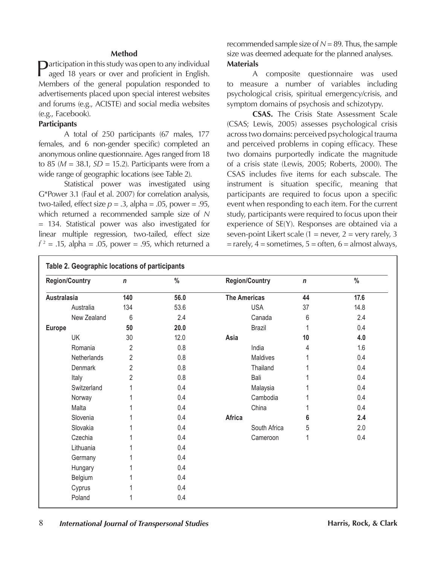#### **Method**

 $\Box$ articipation in this study was open to any individual aged 18 years or over and proficient in English. Members of the general population responded to advertisements placed upon special interest websites and forums (e.g., ACISTE) and social media websites (e.g., Facebook).

### **Participants**

A total of 250 participants (67 males, 177 females, and 6 non-gender specific) completed an anonymous online questionnaire. Ages ranged from 18 to 85 (*M* = 38.1, *SD* = 15.2). Participants were from a wide range of geographic locations (see Table 2).

Statistical power was investigated using G\*Power 3.1 (Faul et al. 2007) for correlation analysis, two-tailed, effect size  $p = 0.3$ , alpha =  $0.05$ , power =  $0.95$ , which returned a recommended sample size of *N* = 134. Statistical power was also investigated for linear multiple regression, two-tailed, effect size  $f^2 = .15$ , alpha = .05, power = .95, which returned a

recommended sample size of  $N = 89$ . Thus, the sample size was deemed adequate for the planned analyses. **Materials**

A composite questionnaire was used to measure a number of variables including psychological crisis, spiritual emergency/crisis, and symptom domains of psychosis and schizotypy.

**CSAS.** The Crisis State Assessment Scale (CSAS; Lewis, 2005) assesses psychological crisis across two domains: perceived psychological trauma and perceived problems in coping efficacy. These two domains purportedly indicate the magnitude of a crisis state (Lewis, 2005; Roberts, 2000). The CSAS includes five items for each subscale. The instrument is situation specific, meaning that participants are required to focus upon a specific event when responding to each item. For the current study, participants were required to focus upon their experience of SE(Y). Responses are obtained via a seven-point Likert scale  $(1 =$  never,  $2 =$  very rarely, 3  $=$  rarely,  $4 =$  sometimes,  $5 =$  often,  $6 =$  almost always,

| <b>Region/Country</b> | $\mathsf{n}$   | $\%$    | <b>Region/Country</b> | $\mathsf{n}$ | $\%$<br>17.6 |  |
|-----------------------|----------------|---------|-----------------------|--------------|--------------|--|
| Australasia           | 140            | 56.0    | <b>The Americas</b>   | 44           |              |  |
| Australia             | 134            | 53.6    | <b>USA</b>            | 37           | 14.8         |  |
| New Zealand           | 6              | 2.4     | Canada                | 6            | 2.4          |  |
| <b>Europe</b>         | 50             | 20.0    | Brazil                | 1            | 0.4          |  |
| <b>UK</b>             | 30             | 12.0    | Asia                  | 10           | 4.0          |  |
| Romania               | 2              | 0.8     | India                 | 4            | 1.6          |  |
| Netherlands           | $\overline{2}$ | 0.8     | Maldives              |              | 0.4          |  |
| Denmark               | $\overline{2}$ | $0.8\,$ | Thailand              |              | 0.4          |  |
| Italy                 | $\overline{2}$ | 0.8     | Bali                  |              | 0.4          |  |
| Switzerland           |                | 0.4     | Malaysia              |              | 0.4          |  |
| Norway                |                | 0.4     | Cambodia              |              | 0.4          |  |
| Malta                 |                | 0.4     | China                 |              | 0.4          |  |
| Slovenia              |                | 0.4     | Africa                | 6            | 2.4          |  |
| Slovakia              |                | 0.4     | South Africa          | 5            | 2.0          |  |
| Czechia               |                | 0.4     | Cameroon              | 1            | 0.4          |  |
| Lithuania             |                | 0.4     |                       |              |              |  |
| Germany               |                | 0.4     |                       |              |              |  |
| Hungary               |                | 0.4     |                       |              |              |  |
| Belgium               |                | 0.4     |                       |              |              |  |
| Cyprus                |                | 0.4     |                       |              |              |  |
| Poland                |                | 0.4     |                       |              |              |  |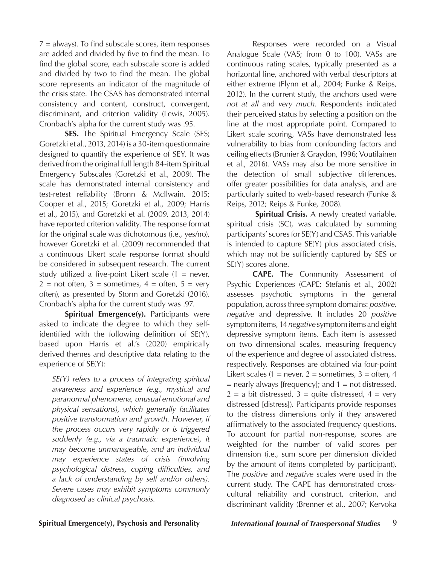$7 =$  always). To find subscale scores, item responses are added and divided by five to find the mean. To find the global score, each subscale score is added and divided by two to find the mean. The global score represents an indicator of the magnitude of the crisis state. The CSAS has demonstrated internal consistency and content, construct, convergent, discriminant, and criterion validity (Lewis, 2005). Cronbach's alpha for the current study was .95.

**SES.** The Spiritual Emergency Scale (SES; Goretzki et al., 2013, 2014) is a 30-item questionnaire designed to quantify the experience of SEY. It was derived from the original full length 84-item Spiritual Emergency Subscales (Goretzki et al., 2009). The scale has demonstrated internal consistency and test-retest reliability (Bronn & McIlwain, 2015; Cooper et al., 2015; Goretzki et al., 2009; Harris et al., 2015), and Goretzki et al. (2009, 2013, 2014) have reported criterion validity. The response format for the original scale was dichotomous (i.e., yes/no), however Goretzki et al. (2009) recommended that a continuous Likert scale response format should be considered in subsequent research. The current study utilized a five-point Likert scale  $(1 = never,$  $2 =$  not often,  $3 =$  sometimes,  $4 =$  often,  $5 =$  very often), as presented by Storm and Goretzki (2016). Cronbach's alpha for the current study was .97.

**Spiritual Emergence(y).** Participants were asked to indicate the degree to which they selfidentified with the following definition of SE(Y), based upon Harris et al.'s (2020) empirically derived themes and descriptive data relating to the experience of SE(Y):

*SE(Y) refers to a process of integrating spiritual awareness and experience (e.g., mystical and paranormal phenomena, unusual emotional and physical sensations), which generally facilitates positive transformation and growth. However, if the process occurs very rapidly or is triggered suddenly (e.g., via a traumatic experience), it may become unmanageable, and an individual may experience states of crisis (involving psychological distress, coping difficulties, and a lack of understanding by self and/or others). Severe cases may exhibit symptoms commonly diagnosed as clinical psychosis.* 

Responses were recorded on a Visual Analogue Scale (VAS; from 0 to 100). VASs are continuous rating scales, typically presented as a horizontal line, anchored with verbal descriptors at either extreme (Flynn et al., 2004; Funke & Reips, 2012). In the current study, the anchors used were *not at all* and *very much*. Respondents indicated their perceived status by selecting a position on the line at the most appropriate point. Compared to Likert scale scoring, VASs have demonstrated less vulnerability to bias from confounding factors and ceiling effects (Brunier & Graydon, 1996; Voutilainen et al., 2016). VASs may also be more sensitive in the detection of small subjective differences, offer greater possibilities for data analysis, and are particularly suited to web-based research (Funke & Reips, 2012; Reips & Funke, 2008).

**Spiritual Crisis.** A newly created variable, spiritual crisis (SC), was calculated by summing participants' scores for SE(Y) and CSAS. This variable is intended to capture SE(Y) plus associated crisis, which may not be sufficiently captured by SES or SE(Y) scores alone.

**CAPE.** The Community Assessment of Psychic Experiences (CAPE; Stefanis et al., 2002) assesses psychotic symptoms in the general population, across three symptom domains: *positive*, *negative* and depressive. It includes 20 *positive* symptom items, 14 *negative* symptom items and eight depressive symptom items. Each item is assessed on two dimensional scales, measuring frequency of the experience and degree of associated distress, respectively. Responses are obtained via four-point Likert scales (1 = never, 2 = sometimes, 3 = often, 4  $=$  nearly always [frequency]; and  $1 =$  not distressed,  $2 = a$  bit distressed,  $3 =$  quite distressed,  $4 =$  very distressed [distress]). Participants provide responses to the distress dimensions only if they answered affirmatively to the associated frequency questions. To account for partial non-response, scores are weighted for the number of valid scores per dimension (i.e., sum score per dimension divided by the amount of items completed by participant). The *positive* and *negative* scales were used in the current study. The CAPE has demonstrated crosscultural reliability and construct, criterion, and discriminant validity (Brenner et al., 2007; Kervoka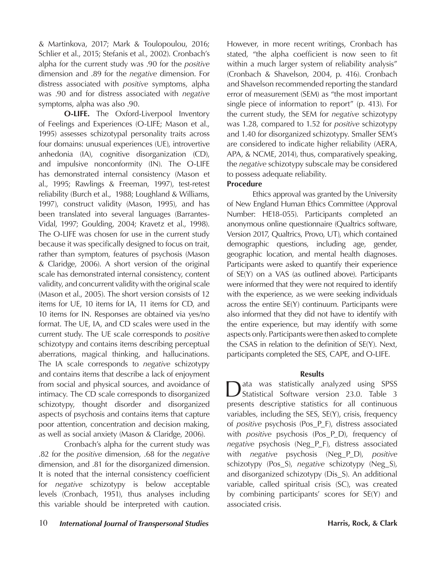& Martinkova, 2017; Mark & Toulopoulou, 2016; Schlier et al., 2015; Stefanis et al., 2002). Cronbach's alpha for the current study was .90 for the *positive* dimension and .89 for the *negative* dimension. For distress associated with *positive* symptoms, alpha was .90 and for distress associated with *negative* symptoms, alpha was also .90.

**O-LIFE.** The Oxford-Liverpool Inventory of Feelings and Experiences (O-LIFE; Mason et al., 1995) assesses schizotypal personality traits across four domains: unusual experiences (UE), introvertive anhedonia (IA), cognitive disorganization (CD), and impulsive nonconformity (IN). The O-LIFE has demonstrated internal consistency (Mason et al., 1995; Rawlings & Freeman, 1997), test-retest reliability (Burch et al., 1988; Loughland & Williams, 1997), construct validity (Mason, 1995), and has been translated into several languages (Barrantes-Vidal, 1997; Goulding, 2004; Kravetz et al., 1998). The O-LIFE was chosen for use in the current study because it was specifically designed to focus on trait, rather than symptom, features of psychosis (Mason & Claridge, 2006). A short version of the original scale has demonstrated internal consistency, content validity, and concurrent validity with the original scale (Mason et al., 2005). The short version consists of 12 items for UE, 10 items for IA, 11 items for CD, and 10 items for IN. Responses are obtained via yes/no format. The UE, IA, and CD scales were used in the current study. The UE scale corresponds to *positive*  schizotypy and contains items describing perceptual aberrations, magical thinking, and hallucinations. The IA scale corresponds to *negative* schizotypy and contains items that describe a lack of enjoyment from social and physical sources, and avoidance of intimacy. The CD scale corresponds to disorganized schizotypy, thought disorder and disorganized aspects of psychosis and contains items that capture poor attention, concentration and decision making, as well as social anxiety (Mason & Claridge, 2006).

Cronbach's alpha for the current study was .82 for the *positive* dimension, .68 for the *negative*  dimension, and .81 for the disorganized dimension. It is noted that the internal consistency coefficient for *negative* schizotypy is below acceptable levels (Cronbach, 1951), thus analyses including this variable should be interpreted with caution.

However, in more recent writings, Cronbach has stated, "the alpha coefficient is now seen to fit within a much larger system of reliability analysis" (Cronbach & Shavelson, 2004, p. 416). Cronbach and Shavelson recommended reporting the standard error of measurement (SEM) as "the most important single piece of information to report" (p. 413). For the current study, the SEM for *negative* schizotypy was 1.28, compared to 1.52 for *positive* schizotypy and 1.40 for disorganized schizotypy. Smaller SEM's are considered to indicate higher reliability (AERA, APA, & NCME, 2014), thus, comparatively speaking, the *negative* schizotypy subscale may be considered to possess adequate reliability.

### **Procedure**

Ethics approval was granted by the University of New England Human Ethics Committee (Approval Number: HE18-055). Participants completed an anonymous online questionnaire (Qualtrics software, Version 2017, Qualtrics, Provo, UT), which contained demographic questions, including age, gender, geographic location, and mental health diagnoses. Participants were asked to quantify their experience of SE(Y) on a VAS (as outlined above). Participants were informed that they were not required to identify with the experience, as we were seeking individuals across the entire SE(Y) continuum. Participants were also informed that they did not have to identify with the entire experience, but may identify with some aspects only. Participants were then asked to complete the CSAS in relation to the definition of SE(Y). Next, participants completed the SES, CAPE, and O-LIFE.

### **Results**

Data was statistically analyzed using SPSS<br>
Statistical Software version 23.0. Table 3 presents descriptive statistics for all continuous variables, including the SES, SE(Y), crisis, frequency of *positive* psychosis (Pos\_P\_F), distress associated with *positive* psychosis (Pos\_P\_D), frequency of *negative* psychosis (Neg\_P\_F), distress associated with *negative* psychosis (Neg\_P\_D), *positive* schizotypy (Pos\_S), *negative* schizotypy (Neg\_S), and disorganized schizotypy (Dis\_S). An additional variable, called spiritual crisis (SC), was created by combining participants' scores for SE(Y) and associated crisis.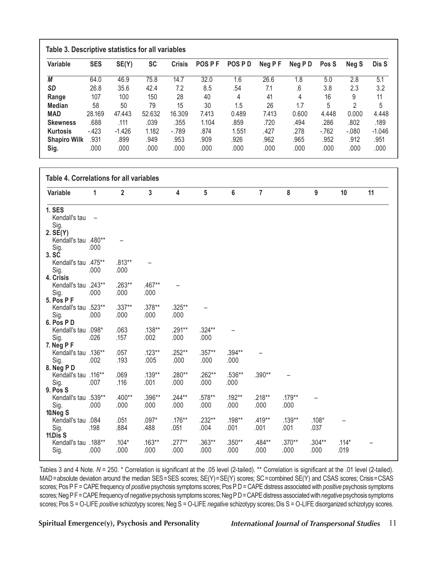| Variable            | <b>SES</b> | SE(Y)    | <b>SC</b> | <b>Crisis</b> | <b>POSPF</b> | POS PD | Neg PF | Neg PD | Pos S  | Neg S  | Dis S    |
|---------------------|------------|----------|-----------|---------------|--------------|--------|--------|--------|--------|--------|----------|
| М                   | 64.0       | 46.9     | 75.8      | 14.7          | 32.0         | 1.6    | 26.6   | 1.8    | 5.0    | 2.8    | 5.1      |
| <b>SD</b>           | 26.8       | 35.6     | 42.4      | 7.2           | 8.5          | .54    | 7.1    | .6     | 3.8    | 2.3    | 3.2      |
| Range               | 107        | 100      | 150       | 28            | 40           | 4      | 41     | 4      | 16     | 9      | 11       |
| <b>Median</b>       | 58         | 50       | 79        | 15            | 30           | 1.5    | 26     | 1.7    | 5      | 2      | 5        |
| <b>MAD</b>          | 28.169     | 47.443   | 52.632    | 16.309        | 7.413        | 0.489  | 7.413  | 0.600  | 4.448  | 0.000  | 4.448    |
| <b>Skewness</b>     | .688       | .111     | .039      | .355          | 1.104        | .859   | .720   | .494   | .286   | .802   | .189     |
| <b>Kurtosis</b>     | $-423$     | $-1.426$ | 1.182     | $-789$        | .874         | 1.551  | .427   | .278   | $-762$ | $-080$ | $-1.046$ |
| <b>Shapiro Wilk</b> | .931       | .899     | .949      | .953          | .909         | .926   | .962   | .965   | .952   | .912   | .951     |
| Sig.                | .000       | .000     | .000      | .000          | .000         | .000   | .000   | .000   | .000   | .000   | .000     |

| Variable                           | 1                        | $\overline{2}$ | $\overline{3}$ | $\overline{\mathbf{4}}$ | 5              | $6\phantom{a}$ | $\overline{7}$ | 8        | 9        | 10      | 11 |
|------------------------------------|--------------------------|----------------|----------------|-------------------------|----------------|----------------|----------------|----------|----------|---------|----|
| <b>1. SES</b>                      |                          |                |                |                         |                |                |                |          |          |         |    |
| Kendall's tau<br>Sig.              | $\overline{\phantom{m}}$ |                |                |                         |                |                |                |          |          |         |    |
| 2. SE(Y)                           |                          |                |                |                         |                |                |                |          |          |         |    |
| Kendall's tau .480**               |                          |                |                |                         |                |                |                |          |          |         |    |
| Sig.                               | .000                     |                |                |                         |                |                |                |          |          |         |    |
| 3. SC<br>Kendall's tau .475**      |                          | $.813**$       |                |                         |                |                |                |          |          |         |    |
| Sig.                               | .000                     | .000           |                |                         |                |                |                |          |          |         |    |
| 4. Crisis                          |                          |                |                |                         |                |                |                |          |          |         |    |
| Kendall's tau .243**               |                          | $.263**$       | $.467**$       |                         |                |                |                |          |          |         |    |
| Sig.                               | .000                     | .000           | .000           |                         |                |                |                |          |          |         |    |
| 5. Pos P F<br>Kendall's tau .523** |                          | $.337**$       | .378**         | .325**                  |                |                |                |          |          |         |    |
| Sig.                               | .000                     | .000           | .000           | .000                    |                |                |                |          |          |         |    |
| 6. Pos PD                          |                          |                |                |                         |                |                |                |          |          |         |    |
| Kendall's tau .098*                |                          | .063           | $.138**$       | .291**                  | .324**         |                |                |          |          |         |    |
| Sig.                               | .026                     | .157           | .002           | .000                    | .000           |                |                |          |          |         |    |
| 7. Neg P F<br>Kendall's tau .136** |                          | .057           | $.123**$       | .252**                  | .357**         | .394**         |                |          |          |         |    |
| Sig.                               | .002                     | .193           | .005           | .000                    | .000           | .000           |                |          |          |         |    |
| 8. Neg P D                         |                          |                |                |                         |                |                |                |          |          |         |    |
| Kendall's tau .116**               |                          | .069           | .139**         | .280**                  | .262**         | .536**         | .390**         |          |          |         |    |
| Sig.<br>9. Pos S                   | .007                     | .116           | .001           | .000                    | .000           | .000           |                |          |          |         |    |
| Kendall's tau .539**               |                          | .400**         | .396**         | $.244**$                | .578**         | .192**         | $.218**$       | $.179**$ |          |         |    |
| Sig.                               | .000                     | .000           | .000           | .000                    | .000           | .000           | .000           | .000     |          |         |    |
| 10.Neg S                           |                          |                |                |                         |                |                |                |          |          |         |    |
| Kendall's tau .084                 |                          | .051<br>.884   | $.097*$        | $.176**$<br>.051        | .232**<br>.004 | .198**<br>.001 | $.419**$       | .139**   | $.108*$  |         |    |
| Sig.<br>11.Dis S                   | .198                     |                | .488           |                         |                |                | .001           | .001     | .037     |         |    |
| Kendall's tau .188**               |                          | $.104*$        | $.163***$      | $.277***$               | $.363**$       | $.350**$       | .484**         | $.370**$ | $.304**$ | $.114*$ |    |
| Sig.                               | .000                     | .000           | .000           | .000                    | .000           | .000           | .000           | .000     | .000     | .019    |    |

Tables 3 and 4 Note. *N* = 250. \* Correlation is significant at the .05 level (2-tailed). \*\* Correlation is significant at the .01 level (2-tailed). MAD=absolute deviation around the median SES=SES scores; SE(Y)=SE(Y) scores; SC=combined SE(Y) and CSAS scores; Crisis=CSAS scores; Pos P F = CAPE frequency of *positive* psychosis symptoms scores; Pos P D = CAPE distress associated with *positive* psychosis symptoms scores;NegPF=CAPEfrequencyof*negative*psychosis symptoms scores;NegPD=CAPEdistressassociatedwith*negative*psychosis symptoms scores; Pos S = O-LIFE *positive* schizotypy scores; Neg S = O-LIFE *negative* schizotypy scores; Dis S = O-LIFE disorganized schizotypy scores.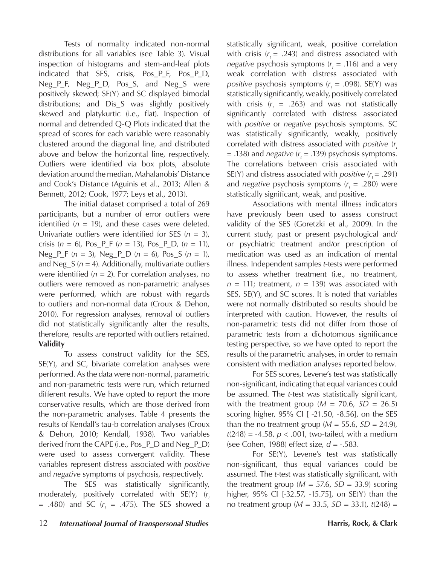Tests of normality indicated non-normal distributions for all variables (see Table 3). Visual inspection of histograms and stem-and-leaf plots indicated that SES, crisis, Pos\_P\_F, Pos\_P\_D, Neg\_P\_F, Neg\_P\_D, Pos\_S, and Neg\_S were positively skewed; SE(Y) and SC displayed bimodal distributions; and Dis\_S was slightly positively skewed and platykurtic (i.e., flat). Inspection of normal and detrended Q-Q Plots indicated that the spread of scores for each variable were reasonably clustered around the diagonal line, and distributed above and below the horizontal line, respectively. Outliers were identified via box plots, absolute deviation around the median, Mahalanobis' Distance and Cook's Distance (Aguinis et al., 2013; Allen & Bennett, 2012; Cook, 1977; Leys et al., 2013).

The initial dataset comprised a total of 269 participants, but a number of error outliers were identified  $(n = 19)$ , and these cases were deleted. Univariate outliers were identified for SES  $(n = 3)$ , crisis (*n* = 6), Pos\_P\_F (*n* = 13), Pos\_P\_D, (*n* = 11), Neg\_P\_F (*n* = 3), Neg\_P\_D (*n* = 6), Pos\_S (*n* = 1), and Neg\_S (*n* = 4). Additionally, multivariate outliers were identified  $(n = 2)$ . For correlation analyses, no outliers were removed as non-parametric analyses were performed, which are robust with regards to outliers and non-normal data (Croux & Dehon, 2010). For regression analyses, removal of outliers did not statistically significantly alter the results, therefore, results are reported with outliers retained. **Validity**

To assess construct validity for the SES, SE(Y), and SC, bivariate correlation analyses were performed. As the data were non-normal, parametric and non-parametric tests were run, which returned different results. We have opted to report the more conservative results, which are those derived from the non-parametric analyses. Table 4 presents the results of Kendall's tau-b correlation analyses (Croux & Dehon, 2010; Kendall, 1938). Two variables derived from the CAPE (i.e., Pos\_P\_D and Neg\_P\_D) were used to assess convergent validity. These variables represent distress associated with *positive* and *negative* symptoms of psychosis, respectively.

The SES was statistically significantly, moderately, positively correlated with SE(Y) (r<sub>t</sub>  $= .480$ ) and SC ( $r<sub>t</sub> = .475$ ). The SES showed a statistically significant, weak, positive correlation with crisis  $(r_1 = .243)$  and distress associated with *negative* psychosis symptoms  $(r<sub>r</sub> = .116)$  and a very weak correlation with distress associated with *positive* psychosis symptoms  $(r<sub>t</sub> = .098)$ . SE(Y) was statistically significantly, weakly, positively correlated with crisis  $(r_t = .263)$  and was not statistically significantly correlated with distress associated with *positive* or *negative* psychosis symptoms. SC was statistically significantly, weakly, positively correlated with distress associated with *positive* (*r*<sub>t</sub>  $=$  .138) and *negative* ( $r<sub>t</sub>$  = .139) psychosis symptoms. The correlations between crisis associated with SE(Y) and distress associated with *positive*  $(r<sub>t</sub> = .291)$ and *negative* psychosis symptoms  $(r<sub>t</sub> = .280)$  were statistically significant, weak, and positive.

Associations with mental illness indicators have previously been used to assess construct validity of the SES (Goretzki et al., 2009). In the current study, past or present psychological and/ or psychiatric treatment and/or prescription of medication was used as an indication of mental illness. Independent samples *t*-tests were performed to assess whether treatment (i.e., no treatment,  $n = 111$ ; treatment,  $n = 139$ ) was associated with SES, SE(Y), and SC scores. It is noted that variables were not normally distributed so results should be interpreted with caution. However, the results of non-parametric tests did not differ from those of parametric tests from a dichotomous significance testing perspective, so we have opted to report the results of the parametric analyses, in order to remain consistent with mediation analyses reported below.

For SES scores, Levene's test was statistically non-significant, indicating that equal variances could be assumed. The *t*-test was statistically significant, with the treatment group ( $M = 70.6$ ,  $SD = 26.5$ ) scoring higher, 95% CI [ -21.50, -8.56], on the SES than the no treatment group ( $M = 55.6$ ,  $SD = 24.9$ ), *t*(248) = -4.58, *p* < .001, two-tailed, with a medium (see Cohen, 1988) effect size, *d* = -.583.

For SE(Y), Levene's test was statistically non-significant, thus equal variances could be assumed. The *t*-test was statistically significant, with the treatment group ( $M = 57.6$ ,  $SD = 33.9$ ) scoring higher, 95% CI [-32.57, -15.75], on SE(Y) than the no treatment group (*M* = 33.5, *SD* = 33.1), *t*(248) =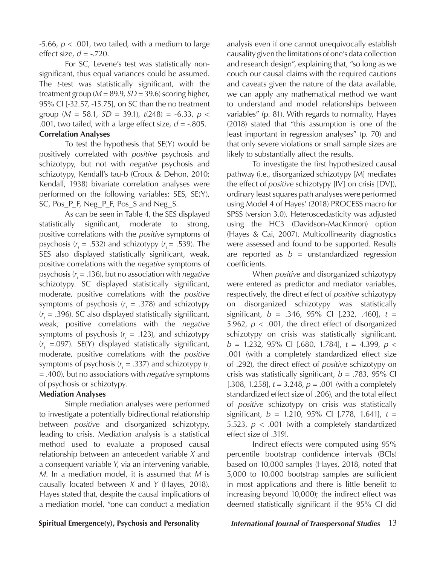$-5.66$ ,  $p < .001$ , two tailed, with a medium to large effect size, *d* = -.720.

For SC, Levene's test was statistically nonsignificant, thus equal variances could be assumed. The *t*-test was statistically significant, with the treatment group (*M* = 89.9, *SD* = 39.6) scoring higher, 95% CI [-32.57, -15.75], on SC than the no treatment group (*M* = 58.1, *SD* = 39.1), *t*(248) = -6.33, *p* < .001, two tailed, with a large effect size,  $d = -0.805$ .

#### **Correlation Analyses**

To test the hypothesis that SE(Y) would be positively correlated with *positive* psychosis and schizotypy, but not with *negative* psychosis and schizotypy, Kendall's tau-b (Croux & Dehon, 2010; Kendall, 1938) bivariate correlation analyses were performed on the following variables: SES, SE(Y), SC, Pos\_P\_F, Neg\_P\_F, Pos\_S and Neg\_S.

As can be seen in Table 4, the SES displayed statistically significant, moderate to strong, positive correlations with the *positive* symptoms of psychosis  $(r<sub>t</sub> = .532)$  and schizotypy  $(r<sub>t</sub> = .539)$ . The SES also displayed statistically significant, weak, positive correlations with the *negative* symptoms of psychosis (r<sub>t</sub> = .136), but no association with *negative* schizotypy. SC displayed statistically significant, moderate, positive correlations with the *positive* symptoms of psychosis  $(r<sub>t</sub> = .378)$  and schizotypy  $(r<sub>r</sub> = .396)$ . SC also displayed statistically significant, weak, positive correlations with the *negative* symptoms of psychosis  $(r<sub>t</sub> = .123)$ , and schizotypy ( $r<sub>t</sub>$  =.097). SE(Y) displayed statistically significant, moderate, positive correlations with the *positive* symptoms of psychosis  $(r<sub>t</sub> = .337)$  and schizotypy  $(r<sub>t</sub>$ = .400), but no associations with *negative* symptoms of psychosis or schizotypy.

#### **Mediation Analyses**

Simple mediation analyses were performed to investigate a potentially bidirectional relationship between *positive* and disorganized schizotypy, leading to crisis. Mediation analysis is a statistical method used to evaluate a proposed causal relationship between an antecedent variable *X* and a consequent variable *Y*, via an intervening variable, *M.* In a mediation model, it is assumed that *M* is causally located between *X* and *Y* (Hayes, 2018). Hayes stated that, despite the causal implications of a mediation model, "one can conduct a mediation

analysis even if one cannot unequivocally establish causality given the limitations of one's data collection and research design", explaining that, "so long as we couch our causal claims with the required cautions and caveats given the nature of the data available, we can apply any mathematical method we want to understand and model relationships between variables" (p. 81). With regards to normality, Hayes (2018) stated that "this assumption is one of the least important in regression analyses" (p. 70) and that only severe violations or small sample sizes are likely to substantially affect the results.

To investigate the first hypothesized causal pathway (i.e., disorganized schizotypy [M] mediates the effect of *positive* schizotypy [IV] on crisis [DV]), ordinary least squares path analyses were performed using Model 4 of Hayes' (2018) PROCESS macro for SPSS (version 3.0). Heteroscedasticity was adjusted using the HC3 (Davidson-MacKinnon) option (Hayes & Cai, 2007). Multicollinearity diagnostics were assessed and found to be supported. Results are reported as  $b =$  unstandardized regression coefficients.

When *positive* and disorganized schizotypy were entered as predictor and mediator variables, respectively, the direct effect of *positive* schizotypy on disorganized schizotypy was statistically significant, *b* = .346, 95% CI [.232, .460], *t* = 5.962, *p* < .001, the direct effect of disorganized schizotypy on crisis was statistically significant, *b* = 1.232, 95% CI [.680, 1.784], *t* = 4.399, *p* < .001 (with a completely standardized effect size of .292), the direct effect of *positive* schizotypy on crisis was statistically significant, *b* = .783, 95% CI [.308, 1.258], *t* = 3.248, *p* = .001 (with a completely standardized effect size of .206), and the total effect of *positive* schizotypy on crisis was statistically significant, *b* = 1.210, 95% CI [.778, 1.641], *t* = 5.523, *p* < .001 (with a completely standardized effect size of .319).

Indirect effects were computed using 95% percentile bootstrap confidence intervals (BCIs) based on 10,000 samples (Hayes, 2018, noted that 5,000 to 10,000 bootstrap samples are sufficient in most applications and there is little benefit to increasing beyond 10,000); the indirect effect was deemed statistically significant if the 95% CI did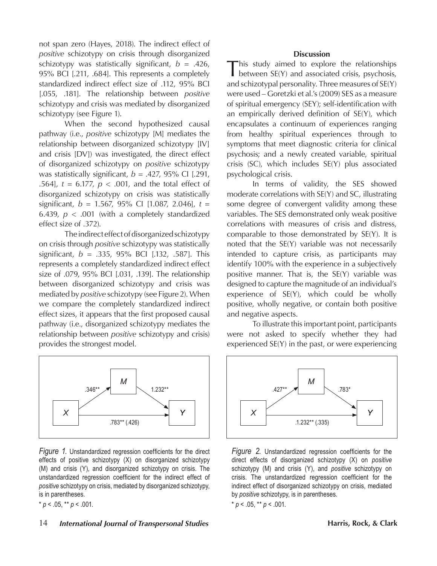not span zero (Hayes, 2018). The indirect effect of *positive* schizotypy on crisis through disorganized schizotypy was statistically significant,  $b = .426$ , 95% BCI [.211, .684]. This represents a completely standardized indirect effect size of .112, 95% BCI [.055, .181]. The relationship between *positive* schizotypy and crisis was mediated by disorganized schizotypy (see Figure 1).

When the second hypothesized causal pathway (i.e., *positive* schizotypy [M] mediates the relationship between disorganized schizotypy [IV] and crisis [DV]) was investigated, the direct effect of disorganized schizotypy on *positive* schizotypy was statistically significant, *b* = .427, 95% CI [.291, .564], *t* = 6.177, *p* < .001, and the total effect of disorganized schizotypy on crisis was statistically significant, *b* = 1.567, 95% CI [1.087, 2.046], *t* = 6.439,  $p < .001$  (with a completely standardized effect size of .372).

The indirect effect of disorganized schizotypy on crisis through *positive* schizotypy was statistically significant, *b* = .335, 95% BCI [.132, .587]. This represents a completely standardized indirect effect size of .079, 95% BCI [.031, .139]. The relationship between disorganized schizotypy and crisis was mediated by *positive* schizotypy (see Figure 2). When we compare the completely standardized indirect effect sizes, it appears that the first proposed causal pathway (i.e., disorganized schizotypy mediates the relationship between *positive* schizotypy and crisis) provides the strongest model.



*Figure 1.* Unstandardized regression coefficients for the direct effects of positive schizotypy (X) on disorganized schizotypy (M) and crisis (Y), and disorganized schizotypy on crisis. The unstandardized regression coefficient for the indirect effect of *positive* schizotypy on crisis, mediated by disorganized schizotypy, is in parentheses.

 $* p < .05, ** p < .001.$ 

### 14 *International Journal of Transpersonal Studies* **14 <b>1999 Harris, Rock, & Clark**

#### **Discussion**

This study aimed to explore the relationships between SE(Y) and associated crisis, psychosis, and schizotypal personality. Three measures of SE(Y) were used – Goretzki et al.'s (2009) SES as a measure of spiritual emergency (SEY); self-identification with an empirically derived definition of SE(Y), which encapsulates a continuum of experiences ranging from healthy spiritual experiences through to symptoms that meet diagnostic criteria for clinical psychosis; and a newly created variable, spiritual crisis (SC), which includes SE(Y) plus associated psychological crisis.

In terms of validity, the SES showed moderate correlations with SE(Y) and SC, illustrating some degree of convergent validity among these variables. The SES demonstrated only weak positive correlations with measures of crisis and distress, comparable to those demonstrated by SE(Y). It is noted that the SE(Y) variable was not necessarily intended to capture crisis, as participants may identify 100% with the experience in a subjectively positive manner. That is, the SE(Y) variable was designed to capture the magnitude of an individual's experience of SE(Y), which could be wholly positive, wholly negative, or contain both positive and negative aspects.

To illustrate this important point, participants were not asked to specify whether they had experienced SE(Y) in the past, or were experiencing



*Figure 2.* Unstandardized regression coefficients for the direct effects of disorganized schizotypy (X) on *positive* schizotypy (M) and crisis (Y), and *positive* schizotypy on crisis. The unstandardized regression coefficient for the indirect effect of disorganized schizotypy on crisis, mediated by *positive* schizotypy, is in parentheses.  $*$  *p* < .05,  $*$  *p* < .001.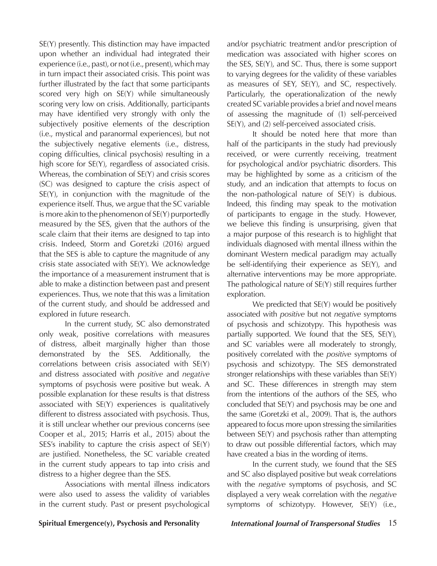SE(Y) presently. This distinction may have impacted upon whether an individual had integrated their experience (i.e., past), or not (i.e., present), which may in turn impact their associated crisis. This point was further illustrated by the fact that some participants scored very high on SE(Y) while simultaneously scoring very low on crisis. Additionally, participants may have identified very strongly with only the subjectively positive elements of the description (i.e., mystical and paranormal experiences), but not the subjectively negative elements (i.e., distress, coping difficulties, clinical psychosis) resulting in a high score for SE(Y), regardless of associated crisis. Whereas, the combination of SE(Y) and crisis scores (SC) was designed to capture the crisis aspect of SE(Y), in conjunction with the magnitude of the experience itself. Thus, we argue that the SC variable is more akin to the phenomenon of SE(Y) purportedly measured by the SES, given that the authors of the scale claim that their items are designed to tap into crisis. Indeed, Storm and Goretzki (2016) argued that the SES is able to capture the magnitude of any crisis state associated with SE(Y). We acknowledge the importance of a measurement instrument that is able to make a distinction between past and present experiences. Thus, we note that this was a limitation of the current study, and should be addressed and explored in future research.

In the current study, SC also demonstrated only weak, positive correlations with measures of distress, albeit marginally higher than those demonstrated by the SES. Additionally, the correlations between crisis associated with SE(Y) and distress associated with *positive* and *negative* symptoms of psychosis were positive but weak. A possible explanation for these results is that distress associated with SE(Y) experiences is qualitatively different to distress associated with psychosis. Thus, it is still unclear whether our previous concerns (see Cooper et al., 2015; Harris et al., 2015) about the SES's inability to capture the crisis aspect of SE(Y) are justified. Nonetheless, the SC variable created in the current study appears to tap into crisis and distress to a higher degree than the SES.

Associations with mental illness indicators were also used to assess the validity of variables in the current study. Past or present psychological and/or psychiatric treatment and/or prescription of medication was associated with higher scores on the SES, SE(Y), and SC. Thus, there is some support to varying degrees for the validity of these variables as measures of SEY, SE(Y), and SC, respectively. Particularly, the operationalization of the newly created SC variable provides a brief and novel means of assessing the magnitude of (1) self-perceived SE(Y), and (2) self-perceived associated crisis.

It should be noted here that more than half of the participants in the study had previously received, or were currently receiving, treatment for psychological and/or psychiatric disorders. This may be highlighted by some as a criticism of the study, and an indication that attempts to focus on the non-pathological nature of SE(Y) is dubious. Indeed, this finding may speak to the motivation of participants to engage in the study. However, we believe this finding is unsurprising, given that a major purpose of this research is to highlight that individuals diagnosed with mental illness within the dominant Western medical paradigm may actually be self-identifying their experience as SE(Y), and alternative interventions may be more appropriate. The pathological nature of SE(Y) still requires further exploration.

We predicted that  $SE(Y)$  would be positively associated with *positive* but not *negative* symptoms of psychosis and schizotypy. This hypothesis was partially supported. We found that the SES, SE(Y), and SC variables were all moderately to strongly, positively correlated with the *positive* symptoms of psychosis and schizotypy. The SES demonstrated stronger relationships with these variables than SE(Y) and SC. These differences in strength may stem from the intentions of the authors of the SES, who concluded that SE(Y) and psychosis may be one and the same (Goretzki et al., 2009). That is, the authors appeared to focus more upon stressing the similarities between SE(Y) and psychosis rather than attempting to draw out possible differential factors, which may have created a bias in the wording of items.

In the current study, we found that the SES and SC also displayed positive but weak correlations with the *negative* symptoms of psychosis, and SC displayed a very weak correlation with the *negative* symptoms of schizotypy. However, SE(Y) (i.e.,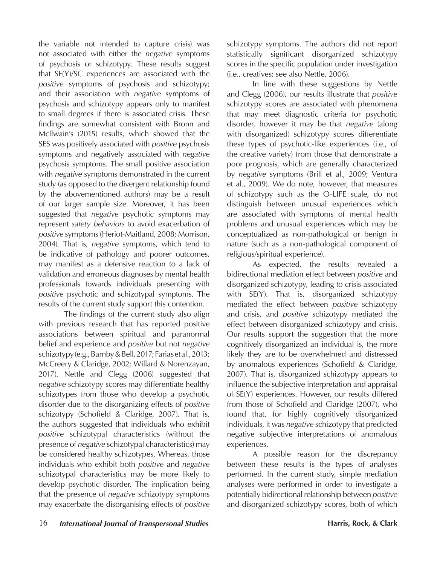the variable not intended to capture crisis) was not associated with either the *negative* symptoms of psychosis or schizotypy. These results suggest that SE(Y)/SC experiences are associated with the *positive* symptoms of psychosis and schizotypy; and their association with *negative* symptoms of psychosis and schizotypy appears only to manifest to small degrees if there is associated crisis. These findings are somewhat consistent with Bronn and McIlwain's (2015) results, which showed that the SES was positively associated with *positive* psychosis symptoms and negatively associated with *negative* psychosis symptoms. The small positive association with *negative* symptoms demonstrated in the current study (as opposed to the divergent relationship found by the abovementioned authors) may be a result of our larger sample size. Moreover, it has been suggested that *negative* psychotic symptoms may represent *safety behaviors* to avoid exacerbation of *positive* symptoms (Heriot-Maitland, 2008; Morrison, 2004). That is, *negative* symptoms, which tend to be indicative of pathology and poorer outcomes, may manifest as a defensive reaction to a lack of validation and erroneous diagnoses by mental health professionals towards individuals presenting with *positive* psychotic and schizotypal symptoms. The results of the current study support this contention.

The findings of the current study also align with previous research that has reported positive associations between spiritual and paranormal belief and experience and *positive* but not *negative* schizotypy (e.g., Barnby & Bell, 2017; Farias et al., 2013; McCreery & Claridge, 2002; Willard & Norenzayan, 2017). Nettle and Clegg (2006) suggested that *negative* schizotypy scores may differentiate healthy schizotypes from those who develop a psychotic disorder due to the disorganizing effects of *positive* schizotypy (Schofield & Claridge, 2007). That is, the authors suggested that individuals who exhibit *positive* schizotypal characteristics (without the presence of *negative* schizotypal characteristics) may be considered healthy schizotypes. Whereas, those individuals who exhibit both *positive* and *negative*  schizotypal characteristics may be more likely to develop psychotic disorder. The implication being that the presence of *negative* schizotypy symptoms may exacerbate the disorganising effects of *positive* 

schizotypy symptoms. The authors did not report statistically significant disorganized schizotypy scores in the specific population under investigation (i.e., creatives; see also Nettle, 2006).

In line with these suggestions by Nettle and Clegg (2006), our results illustrate that *positive* schizotypy scores are associated with phenomena that may meet diagnostic criteria for psychotic disorder, however it may be that *negative* (along with disorganized) schizotypy scores differentiate these types of psychotic-like experiences (i.e., of the creative variety) from those that demonstrate a poor prognosis, which are generally characterized by *negative* symptoms (Brill et al., 2009; Ventura et al., 2009). We do note, however, that measures of schizotypy such as the O-LIFE scale, do not distinguish between unusual experiences which are associated with symptoms of mental health problems and unusual experiences which may be conceptualized as non-pathological or benign in nature (such as a non-pathological component of religious/spiritual experience).

As expected, the results revealed a bidirectional mediation effect between *positive* and disorganized schizotypy, leading to crisis associated with SE(Y). That is, disorganized schizotypy mediated the effect between *positive* schizotypy and crisis, and *positive* schizotypy mediated the effect between disorganized schizotypy and crisis. Our results support the suggestion that the more cognitively disorganized an individual is, the more likely they are to be overwhelmed and distressed by anomalous experiences (Schofield & Claridge, 2007). That is, disorganized schizotypy appears to influence the subjective interpretation and appraisal of SE(Y) experiences. However, our results differed from those of Schofield and Claridge (2007), who found that, for highly cognitively disorganized individuals, it was *negative* schizotypy that predicted negative subjective interpretations of anomalous experiences.

A possible reason for the discrepancy between these results is the types of analyses performed. In the current study, simple mediation analyses were performed in order to investigate a potentially bidirectional relationship between *positive* and disorganized schizotypy scores, both of which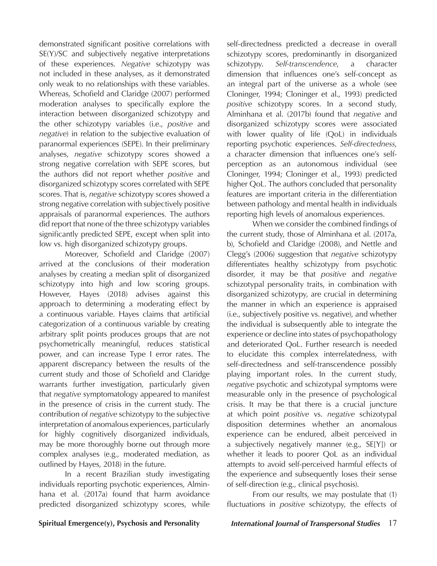demonstrated significant positive correlations with SE(Y)/SC and subjectively negative interpretations of these experiences. *Negative* schizotypy was not included in these analyses, as it demonstrated only weak to no relationships with these variables. Whereas, Schofield and Claridge (2007) performed moderation analyses to specifically explore the interaction between disorganized schizotypy and the other schizotypy variables (i.e., *positive* and *negative*) in relation to the subjective evaluation of paranormal experiences (SEPE). In their preliminary analyses, *negative* schizotypy scores showed a strong negative correlation with SEPE scores, but the authors did not report whether *positive* and disorganized schizotypy scores correlated with SEPE scores. That is, *negative* schizotypy scores showed a strong negative correlation with subjectively positive appraisals of paranormal experiences*.* The authors did report that none of the three schizotypy variables significantly predicted SEPE, except when split into low vs. high disorganized schizotypy groups.

Moreover, Schofield and Claridge (2007) arrived at the conclusions of their moderation analyses by creating a median split of disorganized schizotypy into high and low scoring groups. However, Hayes (2018) advises against this approach to determining a moderating effect by a continuous variable. Hayes claims that artificial categorization of a continuous variable by creating arbitrary split points produces groups that are not psychometrically meaningful, reduces statistical power, and can increase Type I error rates. The apparent discrepancy between the results of the current study and those of Schofield and Claridge warrants further investigation, particularly given that *negative* symptomatology appeared to manifest in the presence of crisis in the current study. The contribution of *negative* schizotypy to the subjective interpretation of anomalous experiences, particularly for highly cognitively disorganized individuals, may be more thoroughly borne out through more complex analyses (e.g., moderated mediation, as outlined by Hayes, 2018) in the future.

In a recent Brazilian study investigating individuals reporting psychotic experiences, Alminhana et al. (2017a) found that harm avoidance predicted disorganized schizotypy scores, while

self-directedness predicted a decrease in overall schizotypy scores, predominantly in disorganized schizotypy. *Self-transcendence*, a character dimension that influences one's self-concept as an integral part of the universe as a whole (see Cloninger, 1994; Cloninger et al., 1993) predicted *positive* schizotypy scores. In a second study, Alminhana et al. (2017b) found that *negative* and disorganized schizotypy scores were associated with lower quality of life (QoL) in individuals reporting psychotic experiences. *Self-directedness*, a character dimension that influences one's selfperception as an autonomous individual (see Cloninger, 1994; Cloninger et al., 1993) predicted higher QoL. The authors concluded that personality features are important criteria in the differentiation between pathology and mental health in individuals reporting high levels of anomalous experiences.

When we consider the combined findings of the current study, those of Alminhana et al. (2017a, b), Schofield and Claridge (2008), and Nettle and Clegg's (2006) suggestion that *negative* schizotypy differentiates healthy schizotypy from psychotic disorder, it may be that *positive* and *negative* schizotypal personality traits, in combination with disorganized schizotypy, are crucial in determining the manner in which an experience is appraised (i.e., subjectively positive vs. negative), and whether the individual is subsequently able to integrate the experience or decline into states of psychopathology and deteriorated QoL. Further research is needed to elucidate this complex interrelatedness, with self-directedness and self-transcendence possibly playing important roles. In the current study, *negative* psychotic and schizotypal symptoms were measurable only in the presence of psychological crisis. It may be that there is a crucial juncture at which point *positive* vs. *negative* schizotypal disposition determines whether an anomalous experience can be endured, albeit perceived in a subjectively negatively manner (e.g., SE[Y]) or whether it leads to poorer QoL as an individual attempts to avoid self-perceived harmful effects of the experience and subsequently loses their sense of self-direction (e.g., clinical psychosis).

From our results, we may postulate that (1) fluctuations in *positive* schizotypy, the effects of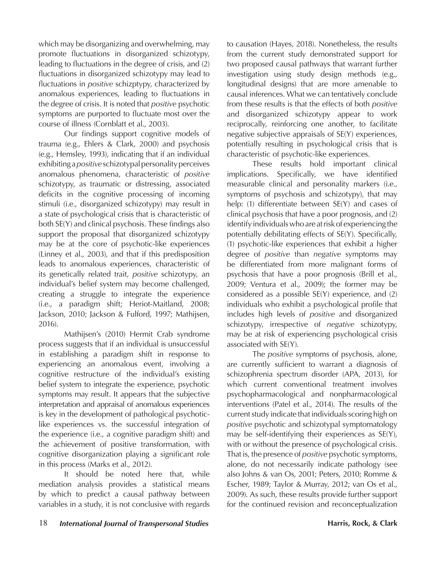which may be disorganizing and overwhelming, may promote fluctuations in disorganized schizotypy, leading to fluctuations in the degree of crisis, and (2) fluctuations in disorganized schizotypy may lead to fluctuations in *positive* schizptypy, characterized by anomalous experiences, leading to fluctuations in the degree of crisis. It is noted that *positive* psychotic symptoms are purported to fluctuate most over the course of illness (Cornblatt et al., 2003).

Our findings support cognitive models of trauma (e.g., Ehlers & Clark, 2000) and psychosis (e.g., Hemsley, 1993), indicating that if an individual exhibiting a *positive* schizotypal personality perceives anomalous phenomena, characteristic of *positive* schizotypy, as traumatic or distressing, associated deficits in the cognitive processing of incoming stimuli (i.e., disorganized schizotypy) may result in a state of psychological crisis that is characteristic of both SE(Y) and clinical psychosis. These findings also support the proposal that disorganized schizotypy may be at the core of psychotic-like experiences (Linney et al., 2003), and that if this predisposition leads to anomalous experiences, characteristic of its genetically related trait, *positive* schizotypy, an individual's belief system may become challenged, creating a struggle to integrate the experience (i.e., a paradigm shift; Heriot-Maitland, 2008; Jackson, 2010; Jackson & Fulford, 1997; Mathijsen, 2016).

Mathijsen's (2010) Hermit Crab syndrome process suggests that if an individual is unsuccessful in establishing a paradigm shift in response to experiencing an anomalous event, involving a cognitive restructure of the individual's existing belief system to integrate the experience, psychotic symptoms may result. It appears that the subjective interpretation and appraisal of anomalous experiences is key in the development of pathological psychoticlike experiences vs. the successful integration of the experience (i.e., a cognitive paradigm shift) and the achievement of positive transformation, with cognitive disorganization playing a significant role in this process (Marks et al., 2012).

It should be noted here that, while mediation analysis provides a statistical means by which to predict a causal pathway between variables in a study, it is not conclusive with regards

to causation (Hayes, 2018). Nonetheless, the results from the current study demonstrated support for two proposed causal pathways that warrant further investigation using study design methods (e.g., longitudinal designs) that are more amenable to causal inferences. What we can tentatively conclude from these results is that the effects of both *positive* and disorganized schizotypy appear to work reciprocally, reinforcing one another, to facilitate negative subjective appraisals of SE(Y) experiences, potentially resulting in psychological crisis that is characteristic of psychotic-like experiences.

These results hold important clinical implications. Specifically, we have identified measurable clinical and personality markers (i.e., symptoms of psychosis and schizotypy), that may help: (1) differentiate between SE(Y) and cases of clinical psychosis that have a poor prognosis, and (2) identify individuals who are at risk of experiencing the potentially debilitating effects of SE(Y). Specifically, (1) psychotic-like experiences that exhibit a higher degree of *positive* than *negative* symptoms may be differentiated from more malignant forms of psychosis that have a poor prognosis (Brill et al., 2009; Ventura et al., 2009); the former may be considered as a possible SE(Y) experience, and (2) individuals who exhibit a psychological profile that includes high levels of *positive* and disorganized schizotypy, irrespective of *negative* schizotypy, may be at risk of experiencing psychological crisis associated with SE(Y).

The *positive* symptoms of psychosis, alone, are currently sufficient to warrant a diagnosis of schizophrenia spectrum disorder (APA, 2013), for which current conventional treatment involves psychopharmacological and nonpharmacological interventions (Patel et al., 2014). The results of the current study indicate that individuals scoring high on *positive* psychotic and schizotypal symptomatology may be self-identifying their experiences as SE(Y), with or without the presence of psychological crisis. That is, the presence of *positive* psychotic symptoms, alone, do not necessarily indicate pathology (see also Johns & van Os, 2001; Peters, 2010; Romme & Escher, 1989; Taylor & Murray, 2012; van Os et al., 2009). As such, these results provide further support for the continued revision and reconceptualization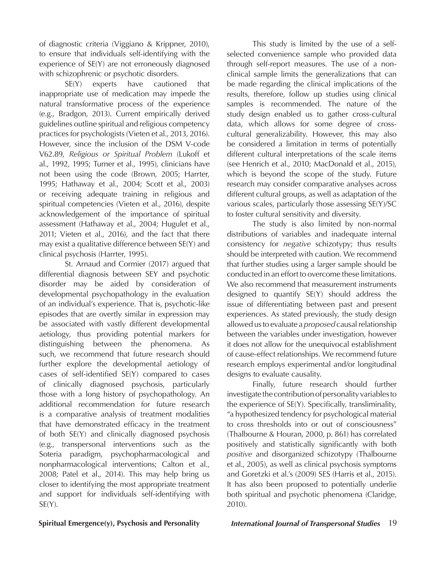of diagnostic criteria (Viggiano & Krippner, 2010), to ensure that individuals self-identifying with the experience of SE(Y) are not erroneously diagnosed with schizophrenic or psychotic disorders.

SE(Y) experts have cautioned that inappropriate use of medication may impede the natural transformative process of the experience (e.g., Bradgon, 2013). Current empirically derived guidelines outline spiritual and religious competency practices for psychologists (Vieten et al., 2013, 2016). However, since the inclusion of the DSM V-code V62.89, *Religious or Spiritual Problem* (Lukoff et al., 1992, 1995; Turner et al., 1995), clinicians have not been using the code (Brown, 2005; Harrter, 1995; Hathaway et al., 2004; Scott et al., 2003) or receiving adequate training in religious and spiritual competencies (Vieten et al., 2016), despite acknowledgement of the importance of spiritual assessment (Hathaway et al., 2004; Hugulet et al., 2011; Vieten et al., 2016), and the fact that there may exist a qualitative difference between SE(Y) and clinical psychosis (Harrter, 1995).

St. Arnaud and Cormier (2017) argued that differential diagnosis between SEY and psychotic disorder may be aided by consideration of developmental psychopathology in the evaluation of an individual's experience. That is, psychotic-like episodes that are overtly similar in expression may be associated with vastly different developmental aetiology, thus providing potential markers for distinguishing between the phenomena. As such, we recommend that future research should further explore the developmental aetiology of cases of self-identified SE(Y) compared to cases of clinically diagnosed psychosis, particularly those with a long history of psychopathology. An additional recommendation for future research is a comparative analysis of treatment modalities that have demonstrated efficacy in the treatment of both SE(Y) and clinically diagnosed psychosis (e.g., transpersonal interventions such as the Soteria paradigm, psychopharmacological and nonpharmacological interventions; Calton et al., 2008; Patel et al., 2014). This may help bring us closer to identifying the most appropriate treatment and support for individuals self-identifying with  $SE(Y)$ .

This study is limited by the use of a selfselected convenience sample who provided data through self-report measures. The use of a nonclinical sample limits the generalizations that can be made regarding the clinical implications of the results, therefore, follow up studies using clinical samples is recommended. The nature of the study design enabled us to gather cross-cultural data, which allows for some degree of crosscultural generalizability. However, this may also be considered a limitation in terms of potentially different cultural interpretations of the scale items (see Henrich et al., 2010; MacDonald et al., 2015), which is beyond the scope of the study. Future research may consider comparative analyses across different cultural groups, as well as adaptation of the various scales, particularly those assessing SE(Y)/SC to foster cultural sensitivity and diversity.

The study is also limited by non-normal distributions of variables and inadequate internal consistency for *negative* schizotypy; thus results should be interpreted with caution. We recommend that further studies using a larger sample should be conducted in an effort to overcome these limitations. We also recommend that measurement instruments designed to quantify SE(Y) should address the issue of differentiating between past and present experiences. As stated previously, the study design allowed us to evaluate a *proposed* causal relationship between the variables under investigation, however it does not allow for the unequivocal establishment of cause-effect relationships. We recommend future research employs experimental and/or longitudinal designs to evaluate causality.

Finally, future research should further investigate the contribution of personality variables to the experience of SE(Y). Specifically, transliminality, "a hypothesized tendency for psychological material to cross thresholds into or out of consciousness" (Thalbourne & Houran, 2000, p. 861) has correlated positively and statistically significantly with both *positive* and disorganized schizotypy (Thalbourne et al., 2005), as well as clinical psychosis symptoms and Goretzki et al.'s (2009) SES (Harris et al., 2015). It has also been proposed to potentially underlie both spiritual and psychotic phenomena (Claridge, 2010).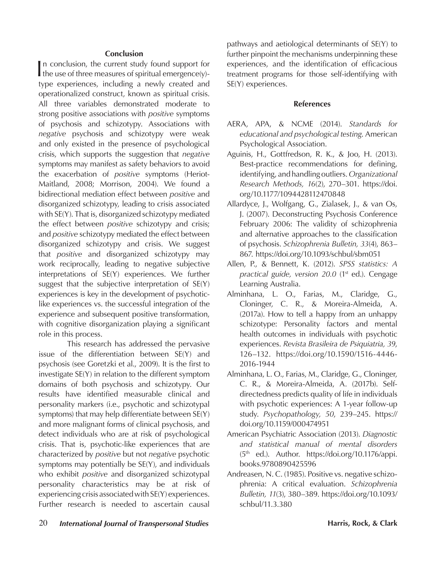#### **Conclusion**

In conclusion, the current study found support for the use of three measures of spiritual emergence(y)-If the use of three measures of spiritual emergence(y)type experiences, including a newly created and operationalized construct, known as spiritual crisis. All three variables demonstrated moderate to strong positive associations with *positive* symptoms of psychosis and schizotypy. Associations with *negative* psychosis and schizotypy were weak and only existed in the presence of psychological crisis, which supports the suggestion that *negative* symptoms may manifest as safety behaviors to avoid the exacerbation of *positive* symptoms (Heriot-Maitland, 2008; Morrison, 2004). We found a bidirectional mediation effect between *positive* and disorganized schizotypy, leading to crisis associated with SE(Y). That is, disorganized schizotypy mediated the effect between *positive* schizotypy and crisis; and *positive* schizotypy mediated the effect between disorganized schizotypy and crisis. We suggest that *positive* and disorganized schizotypy may work reciprocally, leading to negative subjective interpretations of SE(Y) experiences. We further suggest that the subjective interpretation of SE(Y) experiences is key in the development of psychoticlike experiences vs. the successful integration of the experience and subsequent positive transformation, with cognitive disorganization playing a significant role in this process.

 This research has addressed the pervasive issue of the differentiation between SE(Y) and psychosis (see Goretzki et al., 2009). It is the first to investigate SE(Y) in relation to the different symptom domains of both psychosis and schizotypy. Our results have identified measurable clinical and personality markers (i.e., psychotic and schizotypal symptoms) that may help differentiate between SE(Y) and more malignant forms of clinical psychosis, and detect individuals who are at risk of psychological crisis. That is, psychotic-like experiences that are characterized by *positive* but not *negative* psychotic symptoms may potentially be SE(Y), and individuals who exhibit *positive* and disorganized schizotypal personality characteristics may be at risk of experiencing crisis associated with SE(Y) experiences. Further research is needed to ascertain causal

pathways and aetiological determinants of SE(Y) to further pinpoint the mechanisms underpinning these experiences, and the identification of efficacious treatment programs for those self-identifying with SE(Y) experiences.

#### **References**

- AERA, APA, & NCME (2014). *Standards for educational and psychological testing*. American Psychological Association.
- Aguinis, H., Gottfredson, R. K., & Joo, H. (2013). Best-practice recommendations for defining, identifying, and handling outliers. *Organizational Research Methods, 16*(2), 270–301. https://doi. org/10.1177/1094428112470848
- Allardyce, J., Wolfgang, G., Zialasek, J., & van Os, J. (2007). Deconstructing Psychosis Conference February 2006: The validity of schizophrenia and alternative approaches to the classification of psychosis. *Schizophrenia Bulletin, 33*(4), 863– 867. https://doi.org/10.1093/schbul/sbm051
- Allen, P., & Bennett, K. (2012). *SPSS statistics: A practical guide, version 20.0* (1<sup>st</sup> ed.). Cengage Learning Australia.
- Alminhana, L. O., Farias, M., Claridge, G., Cloninger, C. R., & Moreira-Almeida, A. (2017a). How to tell a happy from an unhappy schizotype: Personality factors and mental health outcomes in individuals with psychotic experiences. *Revista Brasileira de Psiquiatria, 39*, 126–132. https://doi.org/10.1590/1516-4446- 2016-1944
- Alminhana, L. O., Farias, M., Claridge, G., Cloninger, C. R., & Moreira-Almeida, A. (2017b). Selfdirectedness predicts quality of life in individuals with psychotic experiences: A 1-year follow-up study. *Psychopathology, 50*, 239–245. https:// doi.org/10.1159/000474951
- American Psychiatric Association (2013). *Diagnostic and statistical manual of mental disorders*  (5th ed.). Author. https://doi.org/10.1176/appi. books.9780890425596
- Andreasen, N. C. (1985). Positive vs. negative schizophrenia: A critical evaluation. *Schizophrenia Bulletin, 11*(3), 380–389. https://doi.org/10.1093/ schbul/11.3.380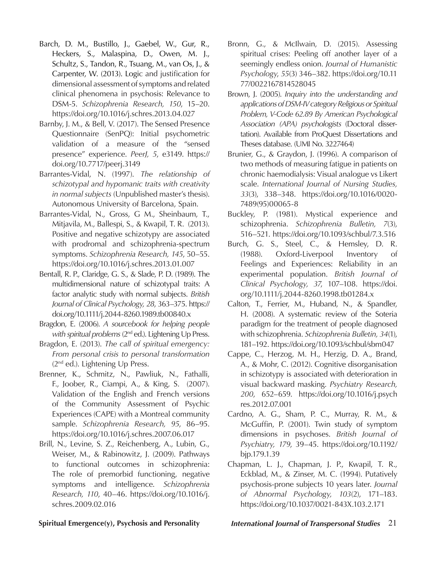- Barch, D. M., Bustillo, J., Gaebel, W., Gur, R., Heckers, S., Malaspina, D., Owen, M. J., Schultz, S., Tandon, R., Tsuang, M., van Os, J., & Carpenter, W. (2013). Logic and justification for dimensional assessment of symptoms and related clinical phenomena in psychosis: Relevance to DSM-5. *Schizophrenia Research, 150*, 15–20. https://doi.org/10.1016/j.schres.2013.04.027
- Barnby, J. M., & Bell, V. (2017). The Sensed Presence Questionnaire (SenPQ): Initial psychometric validation of a measure of the "sensed presence" experience. *PeerJ, 5*, e3149. https:// doi.org/10.7717/peerj.3149
- Barrantes-Vidal, N. (1997). *The relationship of schizotypal and hypomanic traits with creativity in normal subjects* (Unpublished master's thesis). Autonomous University of Barcelona, Spain.
- Barrantes-Vidal, N., Gross, G M., Sheinbaum, T., Mitjavila, M., Ballespi, S., & Kwapil, T. R. (2013). Positive and negative schizotypy are associated with prodromal and schizophrenia-spectrum symptoms. *Schizophrenia Research, 145*, 50–55. https://doi.org/10.1016/j.schres.2013.01.007
- Bentall, R. P., Claridge, G. S., & Slade, P. D. (1989). The multidimensional nature of schizotypal traits: A factor analytic study with normal subjects. *British Journal of Clinical Psychology, 28*, 363–375. https:// doi.org/10.1111/j.2044-8260.1989.tb00840.x
- Bragdon, E. (2006). *A sourcebook for helping people with spiritual problems* (2<sup>nd</sup> ed.). Lightening Up Press.
- Bragdon, E. (2013). *The call of spiritual emergency: From personal crisis to personal transformation*  (2nd ed.). Lightening Up Press.
- Brenner, K., Schmitz, N., Pawliuk, N., Fathalli, F., Joober, R., Ciampi, A., & King, S. (2007). Validation of the English and French versions of the Community Assessment of Psychic Experiences (CAPE) with a Montreal community sample. *Schizophrenia Research, 95*, 86–95. https://doi.org/10.1016/j.schres.2007.06.017
- Brill, N., Levine, S. Z., Reichenberg, A., Lubin, G., Weiser, M., & Rabinowitz, J. (2009). Pathways to functional outcomes in schizophrenia: The role of premorbid functioning, negative symptoms and intelligence. *Schizophrenia Research, 110*, 40–46. https://doi.org/10.1016/j. schres.2009.02.016
- Bronn, G., & McIlwain, D. (2015). Assessing spiritual crises: Peeling off another layer of a seemingly endless onion. *Journal of Humanistic Psychology*, *55*(3) 346–382. https://doi.org/10.11 77/0022167814528045
- Brown, J. (2005). *Inquiry into the understanding and applications of DSM-IV category Religious or Spiritual Problem, V-Code 62.89 By American Psychological Association (APA) psychologists* (Doctoral dissertation). Available from ProQuest Dissertations and Theses database. (UMI No. 3227464)
- Brunier, G., & Graydon, J. (1996). A comparison of two methods of measuring fatigue in patients on chronic haemodialysis: Visual analogue vs Likert scale. *International Journal of Nursing Studies, 33*(3), 338–348. https://doi.org/10.1016/0020- 7489(95)00065-8
- Buckley, P. (1981). Mystical experience and schizophrenia. *Schizophrenia Bulletin, 7*(3), 516–521. https://doi.org/10.1093/schbul/7.3.516
- Burch, G. S., Steel, C., & Hemsley, D. R. (1988). Oxford-Liverpool Inventory of Feelings and Experiences: Reliability in an experimental population. *British Journal of Clinical Psychology, 37*, 107–108. https://doi. org/10.1111/j.2044-8260.1998.tb01284.x
- Calton, T., Ferrier, M., Huband, N., & Spandler, H. (2008). A systematic review of the Soteria paradigm for the treatment of people diagnosed with schizophrenia. *Schizophrenia Bulletin, 34*(1), 181–192. https://doi.org/10.1093/schbul/sbm047
- Cappe, C., Herzog, M. H., Herzig, D. A., Brand, A., & Mohr, C. (2012). Cognitive disorganisation in schizotypy is associated with deterioration in visual backward masking. *Psychiatry Research, 200*, 652–659. https://doi.org/10.1016/j.psych res.2012.07.001
- Cardno, A. G., Sham, P. C., Murray, R. M., & McGuffin, P. (2001). Twin study of symptom dimensions in psychoses. *British Journal of Psychiatry, 179*, 39–45. https://doi.org/10.1192/ bjp.179.1.39
- Chapman, L. J., Chapman, J. P., Kwapil, T. R., Eckblad, M., & Zinser, M. C. (1994). Putatively psychosis-prone subjects 10 years later. *Journal of Abnormal Psychology, 103*(2), 171–183. https://doi.org/10.1037/0021-843X.103.2.171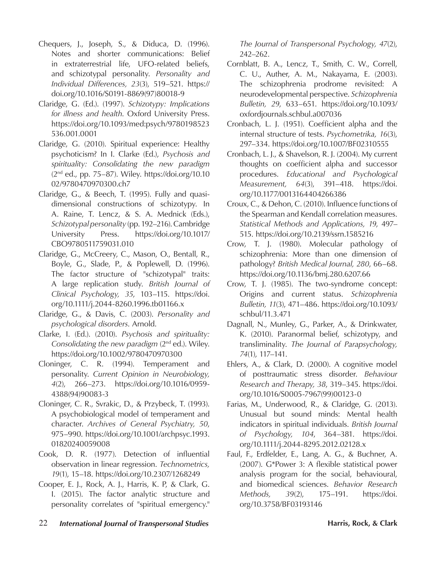- Chequers, J., Joseph, S., & Diduca, D. (1996). Notes and shorter communications: Belief in extraterrestrial life, UFO-related beliefs, and schizotypal personality. *Personality and Individual Differences, 23*(3), 519–521. https:// doi.org/10.1016/S0191-8869(97)80018-9
- Claridge, G. (Ed.). (1997). *Schizotypy: Implications for illness and health*. Oxford University Press. https://doi.org/10.1093/med:psych/9780198523 536.001.0001
- Claridge, G. (2010). Spiritual experience: Healthy psychoticism? In I. Clarke (Ed.), *Psychosis and spirituality: Consolidating the new paradigm*  $(2<sup>nd</sup>$  ed., pp. 75–87). Wiley. https://doi.org/10.10 02/9780470970300.ch7
- Claridge, G., & Beech, T. (1995). Fully and quasidimensional constructions of schizotypy. In A. Raine, T. Lencz, & S. A. Mednick (Eds.), *Schizotypal personality* (pp. 192–216). Cambridge University Press. https://doi.org/10.1017/ CBO9780511759031.010
- Claridge, G., McCreery, C., Mason, O., Bentall, R., Boyle, G., Slade, P., & Poplewell, D. (1996). The factor structure of "schizotypal" traits: A large replication study. *British Journal of Clinical Psychology, 35*, 103–115. https://doi. org/10.1111/j.2044-8260.1996.tb01166.x
- Claridge, G., & Davis, C. (2003). *Personality and psychological disorders*. Arnold.
- Clarke, I. (Ed.). (2010). *Psychosis and spirituality: Consolidating the new paradigm* (2nd ed.). Wiley. https://doi.org/10.1002/9780470970300
- Cloninger, C. R. (1994). Temperament and personality. *Current Opinion in Neurobiology, 4*(2), 266–273. https://doi.org/10.1016/0959- 4388(94)90083-3
- Cloninger, C. R., Svrakic, D., & Przybeck, T. (1993). A psychobiological model of temperament and character. *Archives of General Psychiatry, 50*, 975–990. https://doi.org/10.1001/archpsyc.1993. 01820240059008
- Cook, D. R. (1977). Detection of influential observation in linear regression. *Technometrics, 19*(1), 15–18. https://doi.org/10.2307/1268249
- Cooper, E. J., Rock, A. J., Harris, K. P, & Clark, G. I. (2015). The factor analytic structure and personality correlates of "spiritual emergency."

*The Journal of Transpersonal Psychology, 47*(2), 242–262.

- Cornblatt, B. A., Lencz, T., Smith, C. W., Correll, C. U., Auther, A. M., Nakayama, E. (2003). The schizophrenia prodrome revisited: A neurodevelopmental perspective. *Schizophrenia Bulletin, 29*, 633–651. https://doi.org/10.1093/ oxfordjournals.schbul.a007036
- Cronbach, L. J. (1951). Coefficient alpha and the internal structure of tests. *Psychometrika, 16*(3), 297–334. https://doi.org/10.1007/BF02310555
- Cronbach, L. J., & Shavelson, R. J. (2004). My current thoughts on coefficient alpha and successor procedures. *Educational and Psychological Measurement, 64*(3), 391–418. https://doi. org/10.1177/0013164404266386
- Croux, C., & Dehon, C. (2010). Influence functions of the Spearman and Kendall correlation measures. *Statistical Methods and Applications, 19*, 497– 515. https://doi.org/10.2139/ssrn.1585216
- Crow, T. J. (1980). Molecular pathology of schizophrenia: More than one dimension of pathology? *British Medical Journal, 280*, 66–68. https://doi.org/10.1136/bmj.280.6207.66
- Crow, T. J. (1985). The two-syndrome concept: Origins and current status. *Schizophrenia Bulletin, 11*(3), 471–486. https://doi.org/10.1093/ schbul/11.3.471
- Dagnall, N., Munley, G., Parker, A., & Drinkwater, K. (2010). Paranormal belief, schizotypy, and transliminality. *The Journal of Parapsychology, 74*(1), 117–141.
- Ehlers, A., & Clark, D. (2000). A cognitive model of posttraumatic stress disorder. *Behaviour Research and Therapy, 38*, 319–345. https://doi. org/10.1016/S0005-7967(99)00123-0
- Farias, M., Underwood, R., & Claridge, G. (2013). Unusual but sound minds: Mental health indicators in spiritual individuals. *British Journal of Psychology, 104*, 364–381. https://doi. org/10.1111/j.2044-8295.2012.02128.x
- Faul, F., Erdfelder, E., Lang, A. G., & Buchner, A. (2007). G\*Power 3: A flexible statistical power analysis program for the social, behavioural, and biomedical sciences. *Behavior Research Methods, 39*(2), 175–191. https://doi. org/10.3758/BF03193146
- 22 *International Journal of Transpersonal Studies* **Harris, Rock, & Clark**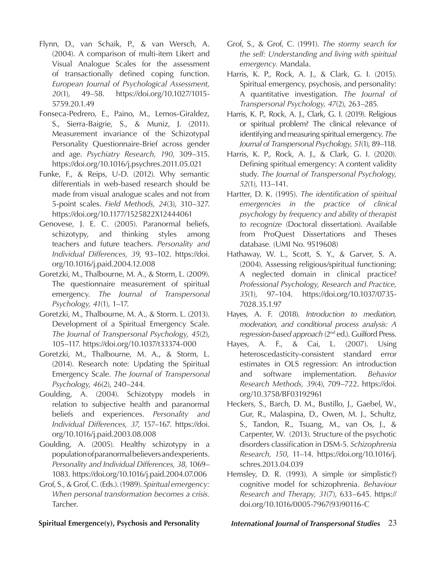- Flynn, D., van Schaik, P., & van Wersch, A. (2004). A comparison of multi-item Likert and Visual Analogue Scales for the assessment of transactionally defined coping function. *European Journal of Psychological Assessment, 20*(1), 49–58. https://doi.org/10.1027/1015- 5759.20.1.49
- Fonseca-Pedrero, E., Paino, M., Lemos-Giraldez, S., Sierra-Baigrie, S., & Muniz, J. (2011). Measurement invariance of the Schizotypal Personality Questionnaire-Brief across gender and age. *Psychiatry Research, 190*, 309–315. https://doi.org/10.1016/j.psychres.2011.05.021
- Funke, F., & Reips, U-D. (2012). Why semantic differentials in web-based research should be made from visual analogue scales and not from 5-point scales. *Field Methods, 24*(3), 310–327. https://doi.org/10.1177/1525822X12444061
- Genovese, J. E. C. (2005). Paranormal beliefs, schizotypy, and thinking styles among teachers and future teachers. *Personality and Individual Differences, 39*, 93–102. https://doi. org/10.1016/j.paid.2004.12.008
- Goretzki, M., Thalbourne, M. A., & Storm, L. (2009). The questionnaire measurement of spiritual emergency. *The Journal of Transpersonal Psychology, 41*(1), 1–17.
- Goretzki, M., Thalbourne, M. A., & Storm. L. (2013). Development of a Spiritual Emergency Scale. *The Journal of Transpersonal Psychology, 45*(2), 105–117. https://doi.org/10.1037/t33374-000
- Goretzki, M., Thalbourne, M. A., & Storm, L. (2014). Research note: Updating the Spiritual Emergency Scale. *The Journal of Transpersonal Psychology, 46*(2), 240–244.
- Goulding, A. (2004). Schizotypy models in relation to subjective health and paranormal beliefs and experiences. *Personality and Individual Differences, 37*, 157–167. https://doi. org/10.1016/j.paid.2003.08.008
- Goulding, A. (2005). Healthy schizotypy in a population of paranormal believers and experients. *Personality and Individual Differences, 38*, 1069– 1083. https://doi.org/10.1016/j.paid.2004.07.006
- Grof, S., & Grof, C. (Eds.). (1989). *Spiritual emergency: When personal transformation becomes a crisis.* Tarcher.
- Grof, S., & Grof, C. (1991). *The stormy search for the self: Understanding and living with spiritual emergency.* Mandala.
- Harris, K. P., Rock, A. J., & Clark, G. I. (2015). Spiritual emergency, psychosis, and personality: A quantitative investigation. *The Journal of Transpersonal Psychology, 47*(2), 263–285*.*
- Harris, K. P., Rock, A. J., Clark, G. I. (2019). Religious or spiritual problem? The clinical relevance of identifying and measuring spiritual emergency. *The Journal of Transpersonal Psychology, 51*(1), 89–118*.*
- Harris, K. P., Rock, A. J., & Clark, G. I. (2020). Defining spiritual emergency: A content validity study. *The Journal of Transpersonal Psychology, 52*(1), 113–141.
- Hartter, D. K. (1995). *The identification of spiritual emergencies in the practice of clinical psychology by frequency and ability of therapist to recognize* (Doctoral dissertation). Available from ProQuest Dissertations and Theses database*.* (UMI No. 9519608)
- Hathaway, W. L., Scott, S. Y., & Garver, S. A. (2004). Assessing religious/spiritual functioning: A neglected domain in clinical practice? *Professional Psychology, Research and Practice, 35*(1), 97–104. https://doi.org/10.1037/0735- 7028.35.1.97
- Hayes, A. F. (2018). *Introduction to mediation, moderation, and conditional process analysis: A regression-based approach* (2nd ed.). Guilford Press.
- Hayes, A. F., & Cai, L. (2007). Using heteroscedasticity-consistent standard error estimates in OLS regression: An introduction and software implementation. *Behavior Research Methods, 39*(4), 709–722. https://doi. org/10.3758/BF03192961
- Heckers, S., Barch, D. M., Bustillo, J., Gaebel, W., Gur, R., Malaspina, D., Owen, M. J., Schultz, S., Tandon, R., Tsuang, M., van Os, J., & Carpenter, W. (2013). Structure of the psychotic disorders classification in DSM-5. *Schizophrenia Research, 150*, 11–14. https://doi.org/10.1016/j. schres.2013.04.039
- Hemsley, D. R. (1993). A simple (or simplistic?) cognitive model for schizophrenia. *Behaviour Research and Therapy, 31*(7), 633–645. https:// doi.org/10.1016/0005-7967(93)90116-C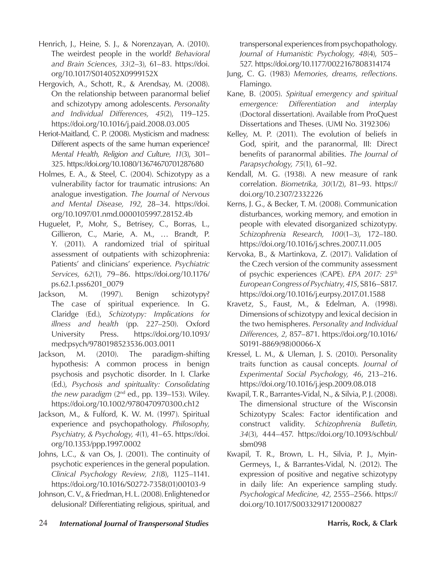- Henrich, J., Heine, S. J., & Norenzayan, A. (2010). The weirdest people in the world? *Behavioral and Brain Sciences*, *33*(2–3), 61–83. https://doi. org/10.1017/S014052X0999152X
- Hergovich, A., Schott, R., & Arendsay, M. (2008). On the relationship between paranormal belief and schizotypy among adolescents. *Personality and Individual Differences, 45*(2), 119–125. https://doi.org/10.1016/j.paid.2008.03.005
- Heriot-Maitland, C. P. (2008). Mysticism and madness: Different aspects of the same human experience? *Mental Health, Religion and Culture, 11*(3), 301– 325. https://doi.org/10.1080/13674670701287680
- Holmes, E. A., & Steel, C. (2004). Schizotypy as a vulnerability factor for traumatic intrusions: An analogue investigation. *The Journal of Nervous and Mental Disease, 192*, 28–34. https://doi. org/10.1097/01.nmd.0000105997.28152.4b
- Huguelet, P., Mohr, S., Betrisey, C., Borras, L., Gillieron, C., Marie, A. M., … Brandt, P. Y. (2011). A randomized trial of spiritual assessment of outpatients with schizophrenia: Patients' and clinicians' experience. *Psychiatric Services, 62*(1), 79–86. https://doi.org/10.1176/ ps.62.1.pss6201\_0079
- Jackson, M. (1997). Benign schizotypy? The case of spiritual experience. In G. Claridge (Ed.), *Schizotypy: Implications for illness and health* (pp. 227–250). Oxford University Press. https://doi.org/10.1093/ med:psych/9780198523536.003.0011
- Jackson, M. (2010). The paradigm-shifting hypothesis: A common process in benign psychosis and psychotic disorder. In I. Clarke (Ed.), *Psychosis and spirituality: Consolidating the new paradigm* (2nd ed., pp. 139–153). Wiley. https://doi.org/10.1002/9780470970300.ch12
- Jackson, M., & Fulford, K. W. M. (1997). Spiritual experience and psychopathology. *Philosophy, Psychiatry, & Psychology, 4*(1), 41–65. https://doi. org/10.1353/ppp.1997.0002
- Johns, L.C., & van Os, J. (2001). The continuity of psychotic experiences in the general population. *Clinical Psychology Review, 21*(8), 1125–1141. https://doi.org/10.1016/S0272-7358(01)00103-9
- Johnson, C. V., & Friedman, H. L. (2008). Enlightened or delusional? Differentiating religious, spiritual, and

transpersonal experiences from psychopathology. *Journal of Humanistic Psychology, 48*(4), 505– 527. https://doi.org/10.1177/0022167808314174

- Jung, C. G. (1983) *Memories, dreams, reflections*. Flamingo.
- Kane, B. (2005). *Spiritual emergency and spiritual emergence: Differentiation and interplay* (Doctoral dissertation). Available from ProQuest Dissertations and Theses. (UMI No. 3192306)
- Kelley, M. P. (2011). The evolution of beliefs in God, spirit, and the paranormal, III: Direct benefits of paranormal abilities. *The Journal of Parapsychology, 75*(1), 61–92.
- Kendall, M. G. (1938). A new measure of rank correlation. *Biometrika, 30*(1/2), 81–93. https:// doi.org/10.2307/2332226
- Kerns, J. G., & Becker, T. M. (2008). Communication disturbances, working memory, and emotion in people with elevated disorganized schizotypy. *Schizophrenia Research, 100*(1–3), 172–180. https://doi.org/10.1016/j.schres.2007.11.005
- Kervoka, B., & Martinkova, Z. (2017). Validation of the Czech version of the community assessment of psychic experiences (CAPE). *EPA 2017: 25th European Congress of Psychiatry*, *41S*, S816–S817. https://doi.org/10.1016/j.eurpsy.2017.01.1588
- Kravetz, S., Faust, M., & Edelman, A. (1998). Dimensions of schizotypy and lexical decision in the two hemispheres. *Personality and Individual Differences, 2*, 857–871. https://doi.org/10.1016/ S0191-8869(98)00066-X
- Kressel, L. M., & Uleman, J. S. (2010). Personality traits function as causal concepts*. Journal of Experimental Social Psychology, 46*, 213–216. https://doi.org/10.1016/j.jesp.2009.08.018
- Kwapil, T. R., Barrantes-Vidal, N., & Silvia, P. J. (2008). The dimensional structure of the Wisconsin Schizotypy Scales: Factor identification and construct validity. *Schizophrenia Bulletin, 34*(3), 444–457. https://doi.org/10.1093/schbul/ sbm098
- Kwapil, T. R., Brown, L. H., Silvia, P. J., Myin-Germeys, I., & Barrantes-Vidal, N. (2012). The expression of positive and negative schizotypy in daily life: An experience sampling study. *Psychological Medicine, 42*, 2555–2566. https:// doi.org/10.1017/S0033291712000827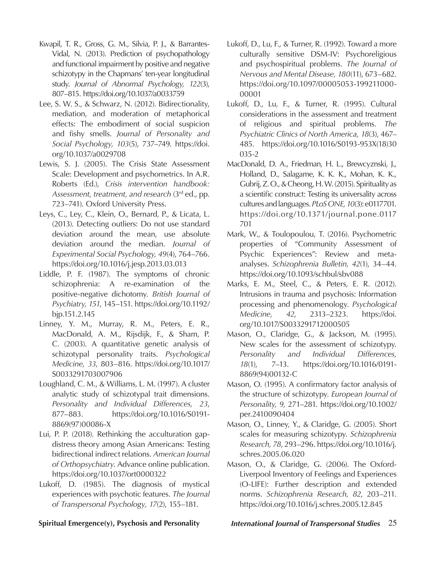- Kwapil, T. R., Gross, G. M., Silvia, P. J., & Barrantes-Vidal, N. (2013). Prediction of psychopathology and functional impairment by positive and negative schizotypy in the Chapmans' ten-year longitudinal study. *Journal of Abnormal Psychology, 122*(3), 807–815. https://doi.org/10.1037/a0033759
- Lee, S. W. S., & Schwarz, N. (2012). Bidirectionality, mediation, and moderation of metaphorical effects: The embodiment of social suspicion and fishy smells. *Journal of Personality and Social Psychology, 103*(5), 737–749. https://doi. org/10.1037/a0029708
- Lewis, S. J. (2005). The Crisis State Assessment Scale: Development and psychometrics. In A.R. Roberts (Ed.), *Crisis intervention handbook: Assessment, treatment, and research* (3rd ed., pp. 723–741). Oxford University Press.
- Leys, C., Ley, C., Klein, O., Bernard, P., & Licata, L. (2013). Detecting outliers: Do not use standard deviation around the mean, use absolute deviation around the median. *Journal of Experimental Social Psychology, 49*(4), 764–766. https://doi.org/10.1016/j.jesp.2013.03.013
- Liddle, P. F. (1987). The symptoms of chronic schizophrenia: A re-examination of the positive-negative dichotomy. *British Journal of Psychiatry, 151*, 145–151. https://doi.org/10.1192/ bjp.151.2.145
- Linney, Y. M., Murray, R. M., Peters, E. R., MacDonald, A. M., Rijsdijk, F., & Sham, P. C. (2003). A quantitative genetic analysis of schizotypal personality traits. *Psychological Medicine, 33*, 803–816. https://doi.org/10.1017/ S0033291703007906
- Loughland, C. M., & Williams, L. M. (1997). A cluster analytic study of schizotypal trait dimensions. *Personality and Individual Differences, 23*, 877–883. https://doi.org/10.1016/S0191- 8869(97)00086-X
- Lui, P. P. (2018). Rethinking the acculturation gapdistress theory among Asian Americans: Testing bidirectional indirect relations. *American Journal of Orthopsychiatry*. Advance online publication. https://doi.org/10.1037/ort0000322
- Lukoff, D. (1985). The diagnosis of mystical experiences with psychotic features. *The Journal of Transpersonal Psychology, 17*(2), 155–181.
- Lukoff, D., Lu, F., & Turner, R. (1992). Toward a more culturally sensitive DSM-IV: Psychoreligious and psychospiritual problems. *The Journal of Nervous and Mental Disease, 180*(11), 673–682. https://doi.org/10.1097/00005053-199211000- 00001
- Lukoff, D., Lu, F., & Turner, R. (1995). Cultural considerations in the assessment and treatment of religious and spiritual problems. *The Psychiatric Clinics of North America, 18*(3), 467– 485. https://doi.org/10.1016/S0193-953X(18)30 035-2
- MacDonald, D. A., Friedman, H. L., Brewcyznski, J., Holland, D., Salagame, K. K. K., Mohan, K. K., Gubrij, Z. O., & Cheong, H. W. (2015). Spirituality as a scientific construct: Testing its universality across cultures and languages. *PLoS ONE, 10*(3): e0117701. https://doi.org/10.1371/journal.pone.0117 701
- Mark, W., & Toulopoulou, T. (2016). Psychometric properties of "Community Assessment of Psychic Experiences": Review and metaanalyses. *Schizophrenia Bulletin, 42*(1), 34–44. https://doi.org/10.1093/schbul/sbv088
- Marks, E. M., Steel, C., & Peters, E. R. (2012). Intrusions in trauma and psychosis: Information processing and phenomenology. *Psychological Medicine, 42*, 2313–2323. https://doi. org/10.1017/S0033291712000505
- Mason, O., Claridge, G., & Jackson, M. (1995). New scales for the assessment of schizotypy. *Personality and Individual Differences, 18*(1), 7–13. https://doi.org/10.1016/0191- 8869(94)00132-C
- Mason, O. (1995). A confirmatory factor analysis of the structure of schizotypy. *European Journal of Personality, 9,* 271–281. https://doi.org/10.1002/ per.2410090404
- Mason, O., Linney, Y., & Claridge, G. (2005). Short scales for measuring schizotypy. *Schizophrenia Research, 78*, 293–296. https://doi.org/10.1016/j. schres.2005.06.020
- Mason, O., & Claridge, G. (2006). The Oxford-Liverpool Inventory of Feelings and Experiences (O-LIFE): Further description and extended norms. *Schizophrenia Research, 82*, 203–211. https://doi.org/10.1016/j.schres.2005.12.845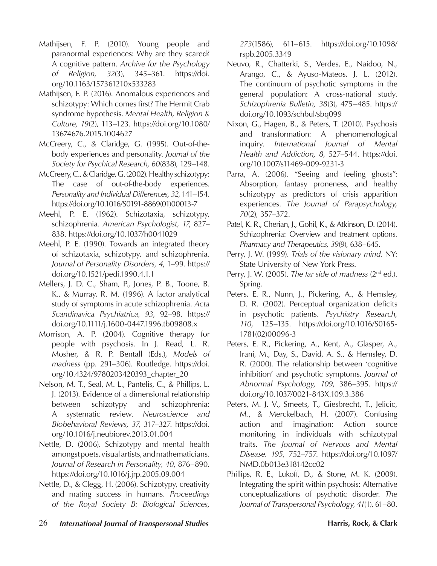- Mathijsen, F. P. (2010). Young people and paranormal experiences: Why are they scared? A cognitive pattern. *Archive for the Psychology of Religion, 32*(3), 345–361. https://doi. org/10.1163/157361210x533283
- Mathijsen, F. P. (2016). Anomalous experiences and schizotypy: Which comes first? The Hermit Crab syndrome hypothesis. *Mental Health, Religion & Culture, 19*(2), 113–123. https://doi.org/10.1080/ 13674676.2015.1004627
- McCreery, C., & Claridge, G. (1995). Out-of-thebody experiences and personality. *Journal of the Society for Psychical Research, 60*(838), 129–148.
- McCreery, C., & Claridge, G. (2002). Healthy schizotypy: The case of out-of-the-body experiences. *Personality and Individual Differences, 32*, 141–154. https://doi.org/10.1016/S0191-8869(01)00013-7
- Meehl, P. E. (1962). Schizotaxia, schizotypy, schizophrenia. *American Psychologist, 17*, 827– 838. https://doi.org/10.1037/h0041029
- Meehl, P. E. (1990). Towards an integrated theory of schizotaxia, schizotypy, and schizophrenia. *Journal of Personality Disorders, 4*, 1–99. https:// doi.org/10.1521/pedi.1990.4.1.1
- Mellers, J. D. C., Sham, P., Jones, P. B., Toone, B. K., & Murray, R. M. (1996). A factor analytical study of symptoms in acute schizophrenia. *Acta Scandinavica Psychiatrica, 93*, 92–98. https:// doi.org/10.1111/j.1600-0447.1996.tb09808.x
- Morrison, A. P. (2004). Cognitive therapy for people with psychosis. In J. Read, L. R. Mosher, & R. P. Bentall (Eds.), *Models of madness* (pp. 291–306). Routledge. https://doi. org/10.4324/9780203420393\_chapter\_20
- Nelson, M. T., Seal, M. L., Pantelis, C., & Phillips, L. J. (2013). Evidence of a dimensional relationship between schizotypy and schizophrenia: A systematic review. *Neuroscience and Biobehavioral Reviews, 37*, 317–327. https://doi. org/10.1016/j.neubiorev.2013.01.004
- Nettle, D. (2006). Schizotypy and mental health amongst poets, visual artists, and mathematicians. *Journal of Research in Personality, 40*, 876–890. https://doi.org/10.1016/j.jrp.2005.09.004
- Nettle, D., & Clegg, H. (2006). Schizotypy, creativity and mating success in humans. *Proceedings of the Royal Society B: Biological Sciences,*

*273*(1586), 611–615. https://doi.org/10.1098/ rspb.2005.3349

- Neuvo, R., Chatterki, S., Verdes, E., Naidoo, N., Arango, C., & Ayuso-Mateos, J. L. (2012). The continuum of psychotic symptoms in the general population: A cross-national study. *Schizophrenia Bulletin, 38*(3), 475–485. https:// doi.org/10.1093/schbul/sbq099
- Nixon, G., Hagen, B., & Peters, T. (2010). Psychosis and transformation: A phenomenological inquiry. *International Journal of Mental Health and Addiction, 8*, 527–544. https://doi. org/10.1007/s11469-009-9231-3
- Parra, A. (2006). "Seeing and feeling ghosts": Absorption, fantasy proneness, and healthy schizotypy as predictors of crisis apparition experiences. *The Journal of Parapsychology, 70*(2), 357–372.
- Patel, K. R., Cherian, J., Gohil, K., & Atkinson, D. (2014). Schizophrenia: Overview and treatment options. *Pharmacy and Therapeutics, 39*(9), 638–645.
- Perry, J. W. (1999). *Trials of the visionary mind*. NY: State University of New York Press.
- Perry, J. W. (2005). *The far side of madness* (2nd ed.). Spring.
- Peters, E. R., Nunn, J., Pickering, A., & Hemsley, D. R. (2002). Perceptual organization deficits in psychotic patients. *Psychiatry Research, 110*, 125–135. https://doi.org/10.1016/S0165- 1781(02)00096-3
- Peters, E. R., Pickering, A., Kent, A., Glasper, A., Irani, M., Day, S., David, A. S., & Hemsley, D. R. (2000). The relationship between 'cognitive inhibition' and psychotic symptoms. *Journal of Abnormal Psychology, 109*, 386–395. https:// doi.org/10.1037/0021-843X.109.3.386
- Peters, M. J. V., Smeets, T., Giesbrecht, T., Jelicic, M., & Merckelbach, H. (2007). Confusing action and imagination: Action source monitoring in individuals with schizotypal traits. *The Journal of Nervous and Mental Disease, 195*, 752–757. https://doi.org/10.1097/ NMD.0b013e318142cc02
- Phillips, R. E., Lukoff, D., & Stone, M. K. (2009). Integrating the spirit within psychosis: Alternative conceptualizations of psychotic disorder. *The Journal of Transpersonal Psychology, 41*(1), 61–80.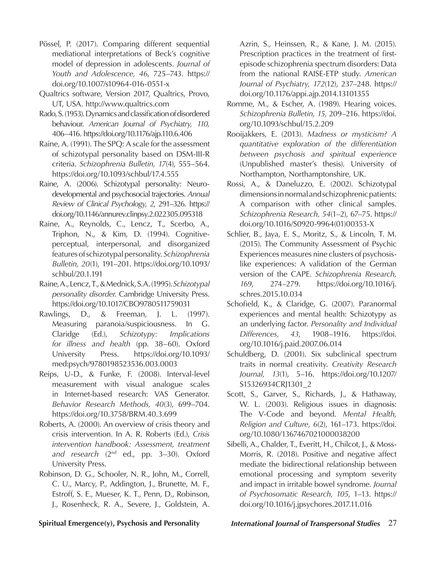- Pössel, P. (2017). Comparing different sequential mediational interpretations of Beck's cognitive model of depression in adolescents. *Journal of Youth and Adolescence, 46*, 725–743. https:// doi.org/10.1007/s10964-016-0551-x
- Qualtrics software, Version 2017, Qualtrics, Provo, UT, USA. http://www.qualtrics.com
- Rado, S. (1953). Dynamics and classification of disordered behaviour. *American Journal of Psychiatry, 110,* 406–416. https://doi.org/10.1176/ajp.110.6.406
- Raine, A. (1991). The SPQ: A scale for the assessment of schizotypal personality based on DSM-III-R criteria. *Schizophrenia Bulletin, 17*(4), 555–564. https://doi.org/10.1093/schbul/17.4.555
- Raine, A. (2006). Schizotypal personality: Neurodevelopmental and psychosocial trajectories. *Annual Review of Clinical Psychology, 2*, 291–326. https:// doi.org/10.1146/annurev.clinpsy.2.022305.095318
- Raine, A., Reynolds, C., Lencz, T., Scerbo, A., Triphon, N., & Kim, D. (1994). Cognitiveperceptual, interpersonal, and disorganized features of schizotypal personality. *Schizophrenia Bulletin, 20*(1), 191–201. https://doi.org/10.1093/ schbul/20.1.191
- Raine, A., Lencz, T., & Mednick, S.A. (1995). *Schizotypal personality disorder*. Cambridge University Press. https://doi.org/10.1017/CBO9780511759031
- Rawlings, D., & Freeman, J. L. (1997). Measuring paranoia/suspiciousness. In G. Claridge (Ed.), *Schizotypy: Implications for illness and health* (pp. 38–60). Oxford University Press. https://doi.org/10.1093/ med:psych/9780198523536.003.0003
- Reips, U-D., & Funke, F. (2008). Interval-level measurement with visual analogue scales in Internet-based research: VAS Generator. *Behavior Research Methods, 40*(3), 699–704. https://doi.org/10.3758/BRM.40.3.699
- Roberts, A. (2000). An overview of crisis theory and crisis intervention. In A. R. Roberts (Ed.), *Crisis intervention handbook: Assessment, treatment and research* (2nd ed., pp. 3–30). Oxford University Press.
- Robinson, D. G., Schooler, N. R., John, M., Correll, C. U., Marcy, P., Addington, J., Brunette, M. F., Estroff, S. E., Mueser, K. T., Penn, D., Robinson, J., Rosenheck, R. A., Severe, J., Goldstein, A.

Azrin, S., Heinssen, R., & Kane, J. M. (2015). Prescription practices in the treatment of firstepisode schizophrenia spectrum disorders: Data from the national RAISE-ETP study. *American Journal of Psychiatry, 172*(12), 237–248. https:// doi.org/10.1176/appi.ajp.2014.13101355

- Romme, M., & Escher, A. (1989). Hearing voices. *Schizophrenia Bulletin, 15*, 209–216. https://doi. org/10.1093/schbul/15.2.209
- Rooijakkers, E. (2013). *Madness or mysticism? A quantitative exploration of the differentiation between psychosis and spiritual experience* (Unpublished master's thesis). University of Northampton, Northamptonshire, UK.
- Rossi, A., & Daneluzzo, E. (2002). Schizotypal dimensions in normal and schizophrenic patients: A comparison with other clinical samples. *Schizophrenia Research, 54*(1–2), 67–75. https:// doi.org/10.1016/S0920-9964(01)00353-X
- Schlier, B., Jaya, E. S., Moritz, S., & Lincoln, T. M. (2015). The Community Assessment of Psychic Experiences measures nine clusters of psychosislike experiences: A validation of the German version of the CAPE. *Schizophrenia Research, 169*, 274–279. https://doi.org/10.1016/j. schres.2015.10.034
- Schofield, K., & Claridge, G. (2007). Paranormal experiences and mental health: Schizotypy as an underlying factor. *Personality and Individual Differences, 43*, 1908–1916. https://doi. org/10.1016/j.paid.2007.06.014
- Schuldberg, D. (2001). Six subclinical spectrum traits in normal creativity. *Creativity Research Journal, 13*(1), 5–16. https://doi.org/10.1207/ S15326934CRJ1301\_2
- Scott, S., Garver, S., Richards, J., & Hathaway, W. L. (2003). Religious issues in diagnosis: The V-Code and beyond. *Mental Health, Religion and Culture, 6*(2), 161–173. https://doi. org/10.1080/1367467021000038200
- Sibelli, A., Chalder, T., Everitt, H., Chilcot, J., & Moss-Morris, R. (2018). Positive and negative affect mediate the bidirectional relationship between emotional processing and symptom severity and impact in irritable bowel syndrome. *Journal of Psychosomatic Research, 105*, 1–13. https:// doi.org/10.1016/j.jpsychores.2017.11.016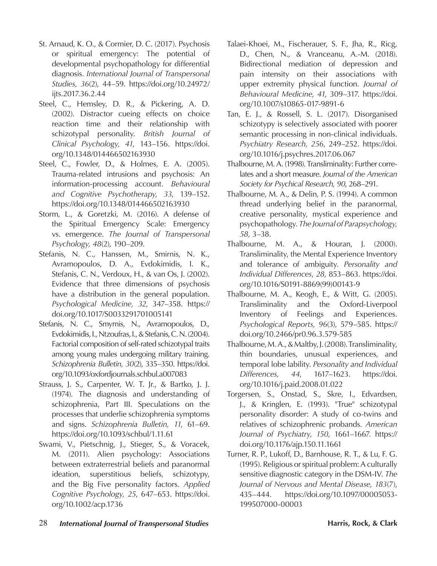- St. Arnaud, K. O., & Cormier, D. C. (2017). Psychosis or spiritual emergency: The potential of developmental psychopathology for differential diagnosis. *International Journal of Transpersonal Studies, 36*(2), 44–59. https://doi.org/10.24972/ ijts.2017.36.2.44
- Steel, C., Hemsley, D. R., & Pickering, A. D. (2002). Distractor cueing effects on choice reaction time and their relationship with schizotypal personality. *British Journal of Clinical Psychology, 41*, 143–156. https://doi. org/10.1348/014466502163930
- Steel, C., Fowler, D., & Holmes, E. A. (2005). Trauma-related intrusions and psychosis: An information-processing account. *Behavioural and Cognitive Psychotherapy, 33*, 139–152. https://doi.org/10.1348/014466502163930
- Storm, L., & Goretzki, M. (2016). A defense of the Spiritual Emergency Scale: Emergency vs. emergence. *The Journal of Transpersonal Psychology, 48*(2), 190–209.
- Stefanis, N. C., Hanssen, M., Smirnis, N. K., Avramopoulos, D. A., Evdokimidis, I. K., Stefanis, C. N., Verdoux, H., & van Os, J. (2002). Evidence that three dimensions of psychosis have a distribution in the general population. *Psychological Medicine, 32*, 347–358. https:// doi.org/10.1017/S0033291701005141
- Stefanis, N. C., Smyrnis, N., Avramopoulos, D., Evdokimidis, I., Ntzoufras, I., & Stefanis, C. N. (2004). Factorial composition of self-rated schizotypal traits among young males undergoing military training. *Schizophrenia Bulletin, 30*(2), 335–350. https://doi. org/10.1093/oxfordjournals.schbul.a007083
- Strauss, J. S., Carpenter, W. T. Jr., & Bartko, J. J. (1974). The diagnosis and understanding of schizophrenia, Part III. Speculations on the processes that underlie schizophrenia symptoms and signs. *Schizophrenia Bulletin, 11*, 61–69. https://doi.org/10.1093/schbul/1.11.61
- Swami, V., Pietschnig, J., Stieger, S., & Voracek, M. (2011). Alien psychology: Associations between extraterrestrial beliefs and paranormal ideation, superstitious beliefs, schizotypy, and the Big Five personality factors. *Applied Cognitive Psychology, 25*, 647–653. https://doi. org/10.1002/acp.1736
- Talaei-Khoei, M., Fischerauer, S. F., Jha, R., Ricg, D., Chen, N., & Vranceanu, A.-M. (2018). Bidirectional mediation of depression and pain intensity on their associations with upper extremity physical function. *Journal of Behavioural Medicine*, *41*, 309–317. https://doi. org/10.1007/s10865-017-9891-6
- Tan, E. J., & Rossell, S. L. (2017). Disorganised schizotypy is selectively associated with poorer semantic processing in non-clinical individuals. *Psychiatry Research, 256*, 249–252. https://doi. org/10.1016/j.psychres.2017.06.067
- Thalbourne, M. A. (1998). Transliminality: Further correlates and a short measure. *Journal of the American Society for Psychical Research, 90*, 268–291.
- Thalbourne, M. A., & Delin, P. S. (1994). A common thread underlying belief in the paranormal, creative personality, mystical experience and psychopathology. *The Journal of Parapsychology, 58,* 3–38.
- Thalbourne, M. A., & Houran, J. (2000). Transliminality, the Mental Experience Inventory and tolerance of ambiguity. *Personality and Individual Differences*, *28*, 853–863. https://doi. org/10.1016/S0191-8869(99)00143-9
- Thalbourne, M. A., Keogh, E., & Witt, G. (2005). Transliminality and the Oxford-Liverpool Inventory of Feelings and Experiences. *Psychological Reports, 96*(3), 579–585. https:// doi.org/10.2466/pr0.96.3.579-585
- Thalbourne, M. A., & Maltby, J. (2008). Transliminality, thin boundaries, unusual experiences, and temporal lobe lability. *Personality and Individual Differences, 44*, 1617–1623. https://doi. org/10.1016/j.paid.2008.01.022
- Torgersen, S., Onstad, S., Skre, I., Edvardsen, J., & Kringlen, E. (1993). "True" schizotypal personality disorder: A study of co-twins and relatives of schizophrenic probands. *American Journal of Psychiatry, 150,* 1661–1667. https:// doi.org/10.1176/ajp.150.11.1661
- Turner, R. P., Lukoff, D., Barnhouse, R. T., & Lu, F. G. (1995). Religious or spiritual problem: A culturally sensitive diagnostic category in the DSM-IV. *The Journal of Nervous and Mental Disease, 183*(7), 435–444. https://doi.org/10.1097/00005053- 199507000-00003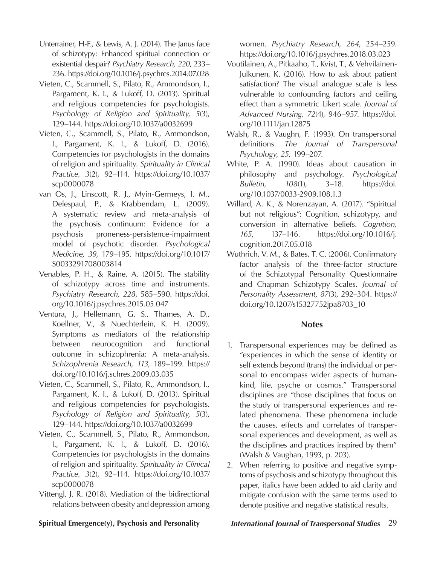- Unterrainer, H-F., & Lewis, A. J. (2014). The Janus face of schizotypy: Enhanced spiritual connection or existential despair? *Psychiatry Research, 220*, 233– 236. https://doi.org/10.1016/j.psychres.2014.07.028
- Vieten, C., Scammell, S., Pilato, R., Ammondson, I., Pargament, K. I., & Lukoff, D. (2013). Spiritual and religious competencies for psychologists. *Psychology of Religion and Spirituality, 5*(3), 129–144. https://doi.org/10.1037/a0032699
- Vieten, C., Scammell, S., Pilato, R., Ammondson, I., Pargament, K. I., & Lukoff, D. (2016). Competencies for psychologists in the domains of religion and spirituality. *Spirituality in Clinical Practice, 3*(2), 92–114. https://doi.org/10.1037/ scp0000078
- van Os, J., Linscott, R. J., Myin-Germeys, I. M., Delespaul, P., & Krabbendam, L. (2009). A systematic review and meta-analysis of the psychosis continuum: Evidence for a psychosis proneness-persistence-impairment model of psychotic disorder. *Psychological Medicine, 39*, 179–195. https://doi.org/10.1017/ S0033291708003814
- Venables, P. H., & Raine, A. (2015). The stability of schizotypy across time and instruments. *Psychiatry Research, 228*, 585–590. https://doi. org/10.1016/j.psychres.2015.05.047
- Ventura, J., Hellemann, G. S., Thames, A. D., Koellner, V., & Nuechterlein, K. H. (2009). Symptoms as mediators of the relationship between neurocognition and functional outcome in schizophrenia: A meta-analysis. *Schizophrenia Research, 113*, 189–199. https:// doi.org/10.1016/j.schres.2009.03.035
- Vieten, C., Scammell, S., Pilato, R., Ammondson, I., Pargament, K. I., & Lukoff, D. (2013). Spiritual and religious competencies for psychologists. *Psychology of Religion and Spirituality, 5*(3), 129–144. https://doi.org/10.1037/a0032699
- Vieten, C., Scammell, S., Pilato, R., Ammondson, I., Pargament, K. I., & Lukoff, D. (2016). Competencies for psychologists in the domains of religion and spirituality. *Spirituality in Clinical Practice, 3*(2), 92–114. https://doi.org/10.1037/ scp0000078
- Vittengl, J. R. (2018). Mediation of the bidirectional relations between obesity and depression among

women. *Psychiatry Research, 264*, 254–259. https://doi.org/10.1016/j.psychres.2018.03.023

- Voutilainen, A., Pitkaaho, T., Kvist, T., & Vehvilainen-Julkunen, K. (2016). How to ask about patient satisfaction? The visual analogue scale is less vulnerable to confounding factors and ceiling effect than a symmetric Likert scale. *Journal of Advanced Nursing, 72*(4), 946–957. https://doi. org/10.1111/jan.12875
- Walsh, R., & Vaughn, F. (1993). On transpersonal definitions. *The Journal of Transpersonal Psychology, 25*, 199–207.
- White, P. A. (1990). Ideas about causation in philosophy and psychology. *Psychological Bulletin, 108*(1), 3–18. https://doi. org/10.1037/0033-2909.108.1.3
- Willard, A. K., & Norenzayan, A. (2017). "Spiritual but not religious": Cognition, schizotypy, and conversion in alternative beliefs. *Cognition, 165*, 137–146. https://doi.org/10.1016/j. cognition.2017.05.018
- Wuthrich, V. M., & Bates, T. C. (2006). Confirmatory factor analysis of the three-factor structure of the Schizotypal Personality Questionnaire and Chapman Schizotypy Scales. *Journal of Personality Assessment, 87*(3), 292–304. https:// doi.org/10.1207/s15327752jpa8703\_10

### **Notes**

- 1. Transpersonal experiences may be defined as "experiences in which the sense of identity or self extends beyond (trans) the individual or personal to encompass wider aspects of humankind, life, psyche or cosmos." Transpersonal disciplines are "those disciplines that focus on the study of transpersonal experiences and related phenomena. These phenomena include the causes, effects and correlates of transpersonal experiences and development, as well as the disciplines and practices inspired by them" (Walsh & Vaughan, 1993, p. 203).
- 2. When referring to positive and negative symptoms of psychosis and schizotypy throughout this paper, italics have been added to aid clarity and mitigate confusion with the same terms used to denote positive and negative statistical results.